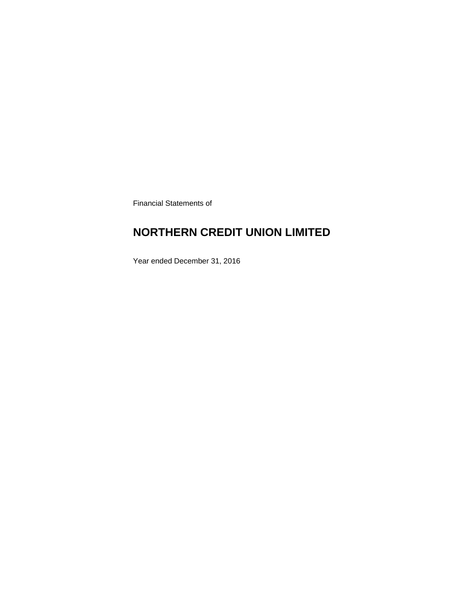Financial Statements of

### **NORTHERN CREDIT UNION LIMITED**

Year ended December 31, 2016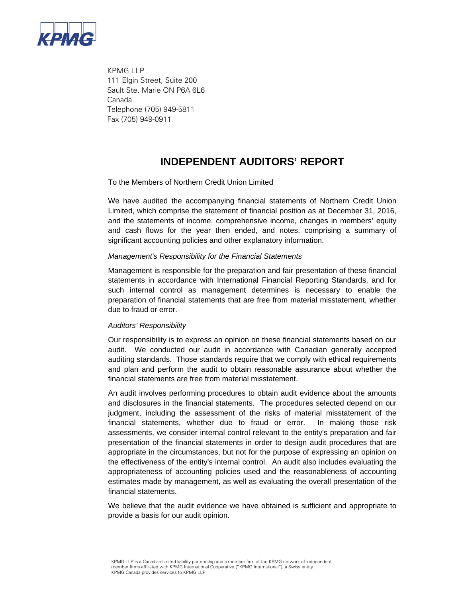

 KPMG LLP 111 Elgin Street, Suite 200 Sault Ste. Marie ON P6A 6L6 Canada Telephone (705) 949-5811 Fax (705) 949-0911

### **INDEPENDENT AUDITORS' REPORT**

To the Members of Northern Credit Union Limited

We have audited the accompanying financial statements of Northern Credit Union Limited, which comprise the statement of financial position as at December 31, 2016, and the statements of income, comprehensive income, changes in members' equity and cash flows for the year then ended, and notes, comprising a summary of significant accounting policies and other explanatory information.

#### *Management's Responsibility for the Financial Statements*

Management is responsible for the preparation and fair presentation of these financial statements in accordance with International Financial Reporting Standards, and for such internal control as management determines is necessary to enable the preparation of financial statements that are free from material misstatement, whether due to fraud or error.

#### *Auditors' Responsibility*

Our responsibility is to express an opinion on these financial statements based on our audit. We conducted our audit in accordance with Canadian generally accepted auditing standards. Those standards require that we comply with ethical requirements and plan and perform the audit to obtain reasonable assurance about whether the financial statements are free from material misstatement.

An audit involves performing procedures to obtain audit evidence about the amounts and disclosures in the financial statements. The procedures selected depend on our judgment, including the assessment of the risks of material misstatement of the financial statements, whether due to fraud or error. In making those risk assessments, we consider internal control relevant to the entity's preparation and fair presentation of the financial statements in order to design audit procedures that are appropriate in the circumstances, but not for the purpose of expressing an opinion on the effectiveness of the entity's internal control. An audit also includes evaluating the appropriateness of accounting policies used and the reasonableness of accounting estimates made by management, as well as evaluating the overall presentation of the financial statements.

We believe that the audit evidence we have obtained is sufficient and appropriate to provide a basis for our audit opinion.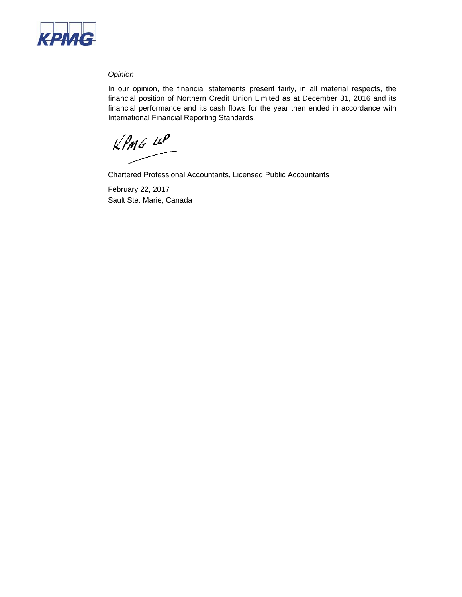

### *Opinion*

In our opinion, the financial statements present fairly, in all material respects, the financial position of Northern Credit Union Limited as at December 31, 2016 and its financial performance and its cash flows for the year then ended in accordance with International Financial Reporting Standards.

 $KPMG$  14 $P$ 

Chartered Professional Accountants, Licensed Public Accountants

February 22, 2017 Sault Ste. Marie, Canada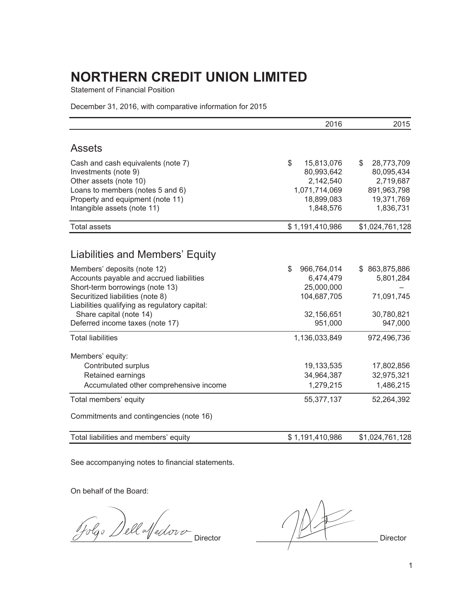Statement of Financial Position

December 31, 2016, with comparative information for 2015

|                                                                                                                                                                                                                                                               | 2016                                                                                    | 2015                                                                                  |
|---------------------------------------------------------------------------------------------------------------------------------------------------------------------------------------------------------------------------------------------------------------|-----------------------------------------------------------------------------------------|---------------------------------------------------------------------------------------|
|                                                                                                                                                                                                                                                               |                                                                                         |                                                                                       |
| <b>Assets</b>                                                                                                                                                                                                                                                 |                                                                                         |                                                                                       |
| Cash and cash equivalents (note 7)<br>Investments (note 9)<br>Other assets (note 10)<br>Loans to members (notes 5 and 6)<br>Property and equipment (note 11)<br>Intangible assets (note 11)                                                                   | \$<br>15,813,076<br>80,993,642<br>2,142,540<br>1,071,714,069<br>18,899,083<br>1,848,576 | \$<br>28,773,709<br>80,095,434<br>2,719,687<br>891,963,798<br>19,371,769<br>1,836,731 |
| <b>Total assets</b>                                                                                                                                                                                                                                           | \$1,191,410,986                                                                         | \$1,024,761,128                                                                       |
| Liabilities and Members' Equity                                                                                                                                                                                                                               |                                                                                         |                                                                                       |
| Members' deposits (note 12)<br>Accounts payable and accrued liabilities<br>Short-term borrowings (note 13)<br>Securitized liabilities (note 8)<br>Liabilities qualifying as regulatory capital:<br>Share capital (note 14)<br>Deferred income taxes (note 17) | \$<br>966,764,014<br>6,474,479<br>25,000,000<br>104,687,705<br>32,156,651<br>951,000    | \$863,875,886<br>5,801,284<br>71,091,745<br>30,780,821<br>947,000                     |
| <b>Total liabilities</b>                                                                                                                                                                                                                                      | 1,136,033,849                                                                           | 972,496,736                                                                           |
| Members' equity:<br>Contributed surplus<br>Retained earnings<br>Accumulated other comprehensive income                                                                                                                                                        | 19,133,535<br>34,964,387<br>1,279,215                                                   | 17,802,856<br>32,975,321<br>1,486,215                                                 |
| Total members' equity                                                                                                                                                                                                                                         | 55,377,137                                                                              | 52,264,392                                                                            |
| Commitments and contingencies (note 16)                                                                                                                                                                                                                       |                                                                                         |                                                                                       |
| Total liabilities and members' equity                                                                                                                                                                                                                         | \$1,191,410,986                                                                         | \$1,024,761,128                                                                       |

See accompanying notes to financial statements.

On behalf of the Board:

 $\frac{1}{2}$   $\frac{1}{2}$   $\frac{1}{2}$   $\frac{1}{2}$   $\frac{1}{2}$   $\frac{1}{2}$   $\frac{1}{2}$   $\frac{1}{2}$   $\frac{1}{2}$   $\frac{1}{2}$   $\frac{1}{2}$   $\frac{1}{2}$   $\frac{1}{2}$   $\frac{1}{2}$   $\frac{1}{2}$   $\frac{1}{2}$   $\frac{1}{2}$   $\frac{1}{2}$   $\frac{1}{2}$   $\frac{1}{2}$   $\frac{1}{2}$   $\frac{1}{2}$ 

1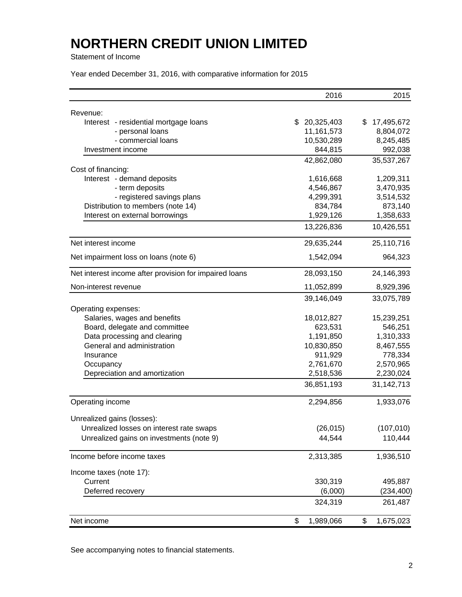Statement of Income

Year ended December 31, 2016, with comparative information for 2015

|                                                        | 2016            | 2015             |
|--------------------------------------------------------|-----------------|------------------|
| Revenue:                                               |                 |                  |
| Interest - residential mortgage loans                  | \$20,325,403    | 17,495,672<br>\$ |
| - personal loans                                       | 11, 161, 573    | 8,804,072        |
| - commercial loans                                     | 10,530,289      | 8,245,485        |
| Investment income                                      | 844,815         | 992,038          |
|                                                        | 42,862,080      | 35,537,267       |
| Cost of financing:<br>Interest - demand deposits       | 1,616,668       | 1,209,311        |
| - term deposits                                        | 4,546,867       | 3,470,935        |
| - registered savings plans                             | 4,299,391       | 3,514,532        |
| Distribution to members (note 14)                      | 834,784         | 873,140          |
| Interest on external borrowings                        | 1,929,126       | 1,358,633        |
|                                                        | 13,226,836      | 10,426,551       |
| Net interest income                                    | 29,635,244      | 25,110,716       |
|                                                        |                 |                  |
| Net impairment loss on loans (note 6)                  | 1,542,094       | 964,323          |
| Net interest income after provision for impaired loans | 28,093,150      | 24,146,393       |
| Non-interest revenue                                   | 11,052,899      | 8,929,396        |
|                                                        | 39,146,049      | 33,075,789       |
| Operating expenses:                                    |                 |                  |
| Salaries, wages and benefits                           | 18,012,827      | 15,239,251       |
| Board, delegate and committee                          | 623,531         | 546,251          |
| Data processing and clearing                           | 1,191,850       | 1,310,333        |
| General and administration                             | 10,830,850      | 8,467,555        |
| Insurance                                              | 911,929         | 778,334          |
| Occupancy                                              | 2,761,670       | 2,570,965        |
| Depreciation and amortization                          | 2,518,536       | 2,230,024        |
|                                                        | 36,851,193      | 31,142,713       |
| Operating income                                       | 2,294,856       | 1,933,076        |
| Unrealized gains (losses):                             |                 |                  |
| Unrealized losses on interest rate swaps               | (26, 015)       | (107, 010)       |
| Unrealized gains on investments (note 9)               | 44,544          | 110,444          |
| Income before income taxes                             | 2,313,385       | 1,936,510        |
| Income taxes (note 17):                                |                 |                  |
| Current                                                | 330,319         | 495,887          |
| Deferred recovery                                      | (6,000)         | (234, 400)       |
|                                                        | 324,319         | 261,487          |
| Net income                                             | \$<br>1,989,066 | \$<br>1,675,023  |

See accompanying notes to financial statements.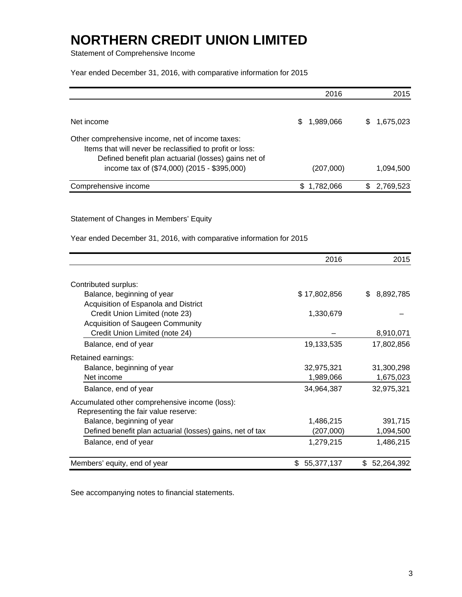Statement of Comprehensive Income

Year ended December 31, 2016, with comparative information for 2015

|                                                                                                                                                                                                                     | 2016           | 2015           |
|---------------------------------------------------------------------------------------------------------------------------------------------------------------------------------------------------------------------|----------------|----------------|
| Net income                                                                                                                                                                                                          | S<br>1,989,066 | 1,675,023<br>S |
| Other comprehensive income, net of income taxes:<br>Items that will never be reclassified to profit or loss:<br>Defined benefit plan actuarial (losses) gains net of<br>income tax of (\$74,000) (2015 - \$395,000) | (207,000)      | 1,094,500      |
| Comprehensive income                                                                                                                                                                                                | 1,782,066      | 2,769,523      |

Statement of Changes in Members' Equity

Year ended December 31, 2016, with comparative information for 2015

|                                                           | 2016         | 2015            |
|-----------------------------------------------------------|--------------|-----------------|
|                                                           |              |                 |
| Contributed surplus:                                      |              |                 |
| Balance, beginning of year                                | \$17,802,856 | 8,892,785<br>S. |
| Acquisition of Espanola and District                      |              |                 |
| Credit Union Limited (note 23)                            | 1,330,679    |                 |
| Acquisition of Saugeen Community                          |              |                 |
| Credit Union Limited (note 24)                            |              | 8,910,071       |
| Balance, end of year                                      | 19,133,535   | 17,802,856      |
| Retained earnings:                                        |              |                 |
| Balance, beginning of year                                | 32,975,321   | 31,300,298      |
| Net income                                                | 1,989,066    | 1,675,023       |
| Balance, end of year                                      | 34,964,387   | 32,975,321      |
| Accumulated other comprehensive income (loss):            |              |                 |
| Representing the fair value reserve:                      |              |                 |
| Balance, beginning of year                                | 1,486,215    | 391,715         |
| Defined benefit plan actuarial (losses) gains, net of tax | (207,000)    | 1,094,500       |
| Balance, end of year                                      | 1,279,215    | 1,486,215       |
| Members' equity, end of year                              | \$55,377,137 | \$52,264,392    |

See accompanying notes to financial statements.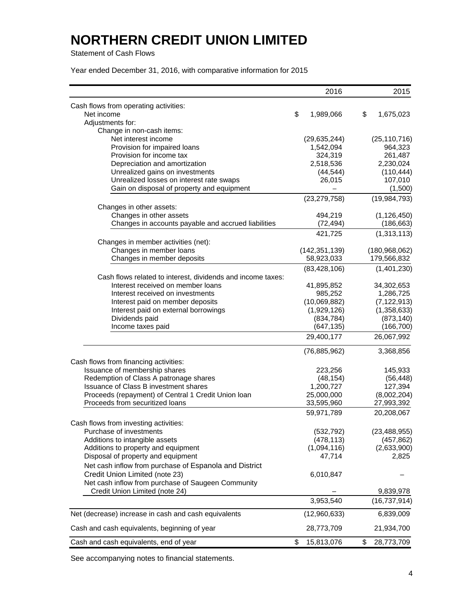Statement of Cash Flows

Year ended December 31, 2016, with comparative information for 2015

|                                                                                 | 2016            | 2015             |
|---------------------------------------------------------------------------------|-----------------|------------------|
| Cash flows from operating activities:                                           |                 |                  |
| Net income                                                                      | \$<br>1,989,066 | \$<br>1,675,023  |
| Adjustments for:                                                                |                 |                  |
| Change in non-cash items:                                                       |                 |                  |
| Net interest income                                                             | (29, 635, 244)  | (25, 110, 716)   |
| Provision for impaired loans                                                    | 1,542,094       | 964,323          |
| Provision for income tax                                                        | 324,319         | 261,487          |
| Depreciation and amortization                                                   | 2,518,536       | 2,230,024        |
| Unrealized gains on investments                                                 | (44, 544)       | (110, 444)       |
| Unrealized losses on interest rate swaps                                        | 26,015          | 107,010          |
| Gain on disposal of property and equipment                                      |                 | (1,500)          |
| Changes in other assets:                                                        | (23, 279, 758)  | (19, 984, 793)   |
| Changes in other assets                                                         | 494,219         | (1, 126, 450)    |
| Changes in accounts payable and accrued liabilities                             | (72, 494)       | (186, 663)       |
|                                                                                 | 421,725         | (1,313,113)      |
| Changes in member activities (net):                                             |                 |                  |
| Changes in member loans                                                         | (142, 351, 139) | (180, 968, 062)  |
| Changes in member deposits                                                      | 58,923,033      | 179,566,832      |
|                                                                                 | (83, 428, 106)  | (1,401,230)      |
| Cash flows related to interest, dividends and income taxes:                     |                 |                  |
| Interest received on member loans                                               | 41,895,852      | 34,302,653       |
| Interest received on investments                                                | 985,252         | 1,286,725        |
| Interest paid on member deposits                                                | (10,069,882)    | (7, 122, 913)    |
| Interest paid on external borrowings                                            | (1,929,126)     | (1,358,633)      |
| Dividends paid                                                                  | (834, 784)      | (873, 140)       |
| Income taxes paid                                                               | (647, 135)      | (166, 700)       |
|                                                                                 | 29,400,177      | 26,067,992       |
|                                                                                 | (76, 885, 962)  | 3,368,856        |
|                                                                                 |                 |                  |
| Cash flows from financing activities:                                           |                 |                  |
| Issuance of membership shares                                                   | 223,256         | 145,933          |
| Redemption of Class A patronage shares<br>Issuance of Class B investment shares | (48, 154)       | (56, 448)        |
| Proceeds (repayment) of Central 1 Credit Union Ioan                             | 1,200,727       | 127,394          |
|                                                                                 | 25,000,000      | (8,002,204)      |
| Proceeds from securitized loans                                                 | 33,595,960      | 27,993,392       |
|                                                                                 | 59,971,789      | 20,208,067       |
| Cash flows from investing activities:                                           |                 |                  |
| Purchase of investments                                                         | (532, 792)      | (23, 488, 955)   |
| Additions to intangible assets                                                  | (478, 113)      | (457, 862)       |
| Additions to property and equipment                                             | (1,094,116)     | (2,633,900)      |
| Disposal of property and equipment                                              | 47,714          | 2,825            |
| Net cash inflow from purchase of Espanola and District                          |                 |                  |
| Credit Union Limited (note 23)                                                  | 6,010,847       |                  |
| Net cash inflow from purchase of Saugeen Community                              |                 |                  |
| Credit Union Limited (note 24)                                                  |                 | 9,839,978        |
|                                                                                 | 3,953,540       | (16, 737, 914)   |
| Net (decrease) increase in cash and cash equivalents                            | (12,960,633)    | 6,839,009        |
| Cash and cash equivalents, beginning of year                                    | 28,773,709      | 21,934,700       |
| Cash and cash equivalents, end of year                                          | 15,813,076<br>S | \$<br>28,773,709 |

See accompanying notes to financial statements.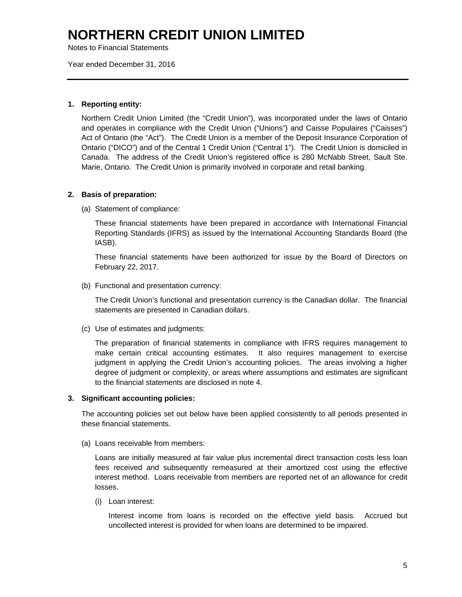Notes to Financial Statements

Year ended December 31, 2016

### **1. Reporting entity:**

Northern Credit Union Limited (the "Credit Union"), was incorporated under the laws of Ontario and operates in compliance with the Credit Union ("Unions") and Caisse Populaires ("Caisses") Act of Ontario (the "Act"). The Credit Union is a member of the Deposit Insurance Corporation of Ontario ("DICO") and of the Central 1 Credit Union ("Central 1"). The Credit Union is domiciled in Canada. The address of the Credit Union's registered office is 280 McNabb Street, Sault Ste. Marie, Ontario. The Credit Union is primarily involved in corporate and retail banking.

### **2. Basis of preparation:**

(a) Statement of compliance:

These financial statements have been prepared in accordance with International Financial Reporting Standards (IFRS) as issued by the International Accounting Standards Board (the IASB).

These financial statements have been authorized for issue by the Board of Directors on February 22, 2017.

(b) Functional and presentation currency:

The Credit Union's functional and presentation currency is the Canadian dollar. The financial statements are presented in Canadian dollars.

(c) Use of estimates and judgments:

The preparation of financial statements in compliance with IFRS requires management to make certain critical accounting estimates. It also requires management to exercise judgment in applying the Credit Union's accounting policies. The areas involving a higher degree of judgment or complexity, or areas where assumptions and estimates are significant to the financial statements are disclosed in note 4.

#### **3. Significant accounting policies:**

The accounting policies set out below have been applied consistently to all periods presented in these financial statements.

(a) Loans receivable from members:

Loans are initially measured at fair value plus incremental direct transaction costs less loan fees received and subsequently remeasured at their amortized cost using the effective interest method. Loans receivable from members are reported net of an allowance for credit losses.

(i) Loan interest:

 Interest income from loans is recorded on the effective yield basis. Accrued but uncollected interest is provided for when loans are determined to be impaired.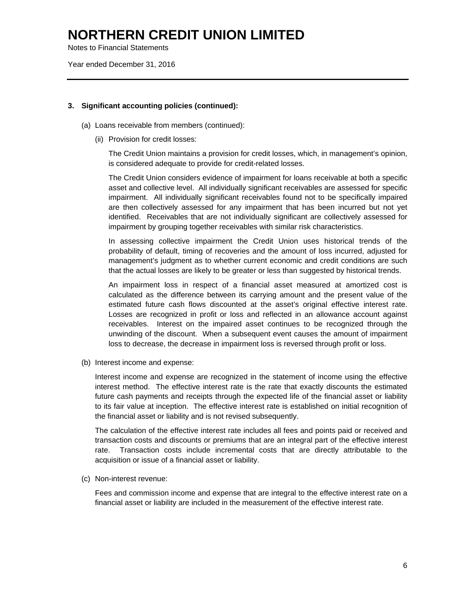Notes to Financial Statements

Year ended December 31, 2016

### **3. Significant accounting policies (continued):**

- (a) Loans receivable from members (continued):
	- (ii) Provision for credit losses:

 The Credit Union maintains a provision for credit losses, which, in management's opinion, is considered adequate to provide for credit-related losses.

 The Credit Union considers evidence of impairment for loans receivable at both a specific asset and collective level. All individually significant receivables are assessed for specific impairment. All individually significant receivables found not to be specifically impaired are then collectively assessed for any impairment that has been incurred but not yet identified. Receivables that are not individually significant are collectively assessed for impairment by grouping together receivables with similar risk characteristics.

 In assessing collective impairment the Credit Union uses historical trends of the probability of default, timing of recoveries and the amount of loss incurred, adjusted for management's judgment as to whether current economic and credit conditions are such that the actual losses are likely to be greater or less than suggested by historical trends.

 An impairment loss in respect of a financial asset measured at amortized cost is calculated as the difference between its carrying amount and the present value of the estimated future cash flows discounted at the asset's original effective interest rate. Losses are recognized in profit or loss and reflected in an allowance account against receivables. Interest on the impaired asset continues to be recognized through the unwinding of the discount. When a subsequent event causes the amount of impairment loss to decrease, the decrease in impairment loss is reversed through profit or loss.

(b) Interest income and expense:

 Interest income and expense are recognized in the statement of income using the effective interest method. The effective interest rate is the rate that exactly discounts the estimated future cash payments and receipts through the expected life of the financial asset or liability to its fair value at inception. The effective interest rate is established on initial recognition of the financial asset or liability and is not revised subsequently.

 The calculation of the effective interest rate includes all fees and points paid or received and transaction costs and discounts or premiums that are an integral part of the effective interest rate. Transaction costs include incremental costs that are directly attributable to the acquisition or issue of a financial asset or liability.

(c) Non-interest revenue:

Fees and commission income and expense that are integral to the effective interest rate on a financial asset or liability are included in the measurement of the effective interest rate.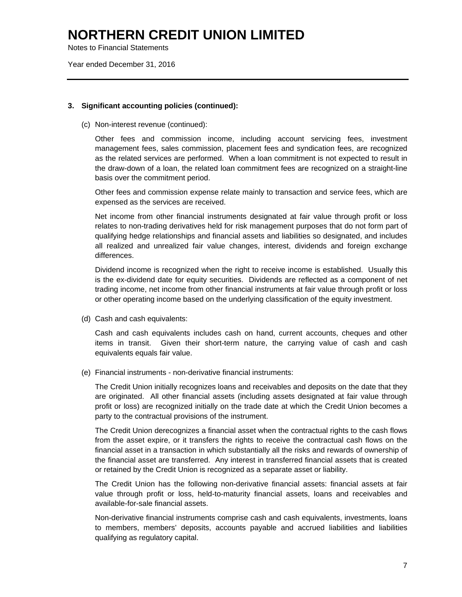Notes to Financial Statements

Year ended December 31, 2016

#### **3. Significant accounting policies (continued):**

(c) Non-interest revenue (continued):

Other fees and commission income, including account servicing fees, investment management fees, sales commission, placement fees and syndication fees, are recognized as the related services are performed. When a loan commitment is not expected to result in the draw-down of a loan, the related loan commitment fees are recognized on a straight-line basis over the commitment period.

Other fees and commission expense relate mainly to transaction and service fees, which are expensed as the services are received.

Net income from other financial instruments designated at fair value through profit or loss relates to non-trading derivatives held for risk management purposes that do not form part of qualifying hedge relationships and financial assets and liabilities so designated, and includes all realized and unrealized fair value changes, interest, dividends and foreign exchange differences.

Dividend income is recognized when the right to receive income is established. Usually this is the ex-dividend date for equity securities. Dividends are reflected as a component of net trading income, net income from other financial instruments at fair value through profit or loss or other operating income based on the underlying classification of the equity investment.

(d) Cash and cash equivalents:

Cash and cash equivalents includes cash on hand, current accounts, cheques and other items in transit. Given their short-term nature, the carrying value of cash and cash equivalents equals fair value.

(e) Financial instruments - non-derivative financial instruments:

 The Credit Union initially recognizes loans and receivables and deposits on the date that they are originated. All other financial assets (including assets designated at fair value through profit or loss) are recognized initially on the trade date at which the Credit Union becomes a party to the contractual provisions of the instrument.

The Credit Union derecognizes a financial asset when the contractual rights to the cash flows from the asset expire, or it transfers the rights to receive the contractual cash flows on the financial asset in a transaction in which substantially all the risks and rewards of ownership of the financial asset are transferred. Any interest in transferred financial assets that is created or retained by the Credit Union is recognized as a separate asset or liability.

The Credit Union has the following non-derivative financial assets: financial assets at fair value through profit or loss, held-to-maturity financial assets, loans and receivables and available-for-sale financial assets.

 Non-derivative financial instruments comprise cash and cash equivalents, investments, loans to members, members' deposits, accounts payable and accrued liabilities and liabilities qualifying as regulatory capital.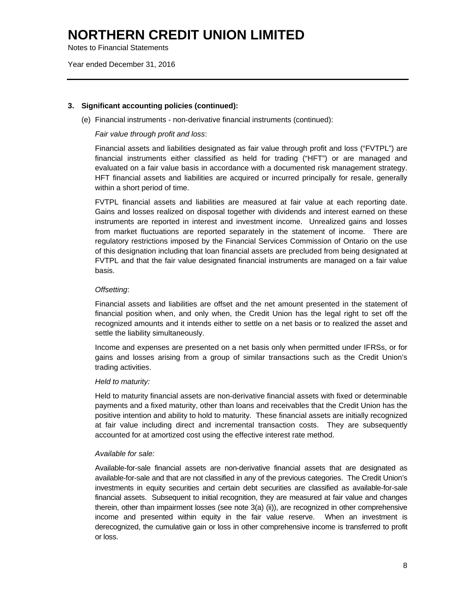Notes to Financial Statements

Year ended December 31, 2016

### **3. Significant accounting policies (continued):**

(e) Financial instruments - non-derivative financial instruments (continued):

### *Fair value through profit and loss*:

 Financial assets and liabilities designated as fair value through profit and loss ("FVTPL") are financial instruments either classified as held for trading ("HFT") or are managed and evaluated on a fair value basis in accordance with a documented risk management strategy. HFT financial assets and liabilities are acquired or incurred principally for resale, generally within a short period of time.

 FVTPL financial assets and liabilities are measured at fair value at each reporting date. Gains and losses realized on disposal together with dividends and interest earned on these instruments are reported in interest and investment income. Unrealized gains and losses from market fluctuations are reported separately in the statement of income. There are regulatory restrictions imposed by the Financial Services Commission of Ontario on the use of this designation including that loan financial assets are precluded from being designated at FVTPL and that the fair value designated financial instruments are managed on a fair value basis.

### *Offsetting*:

Financial assets and liabilities are offset and the net amount presented in the statement of financial position when, and only when, the Credit Union has the legal right to set off the recognized amounts and it intends either to settle on a net basis or to realized the asset and settle the liability simultaneously.

Income and expenses are presented on a net basis only when permitted under IFRSs, or for gains and losses arising from a group of similar transactions such as the Credit Union's trading activities.

#### *Held to maturity:*

Held to maturity financial assets are non-derivative financial assets with fixed or determinable payments and a fixed maturity, other than loans and receivables that the Credit Union has the positive intention and ability to hold to maturity. These financial assets are initially recognized at fair value including direct and incremental transaction costs. They are subsequently accounted for at amortized cost using the effective interest rate method.

#### *Available for sale:*

 Available-for-sale financial assets are non-derivative financial assets that are designated as available-for-sale and that are not classified in any of the previous categories. The Credit Union's investments in equity securities and certain debt securities are classified as available-for-sale financial assets. Subsequent to initial recognition, they are measured at fair value and changes therein, other than impairment losses (see note 3(a) (ii)), are recognized in other comprehensive income and presented within equity in the fair value reserve. When an investment is derecognized, the cumulative gain or loss in other comprehensive income is transferred to profit or loss.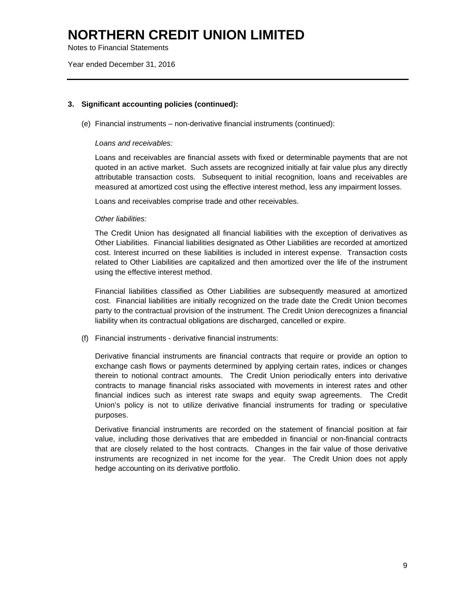Notes to Financial Statements

Year ended December 31, 2016

### **3. Significant accounting policies (continued):**

(e) Financial instruments – non-derivative financial instruments (continued):

#### *Loans and receivables:*

Loans and receivables are financial assets with fixed or determinable payments that are not quoted in an active market. Such assets are recognized initially at fair value plus any directly attributable transaction costs. Subsequent to initial recognition, loans and receivables are measured at amortized cost using the effective interest method, less any impairment losses.

Loans and receivables comprise trade and other receivables.

### *Other liabilities:*

 The Credit Union has designated all financial liabilities with the exception of derivatives as Other Liabilities. Financial liabilities designated as Other Liabilities are recorded at amortized cost. Interest incurred on these liabilities is included in interest expense. Transaction costs related to Other Liabilities are capitalized and then amortized over the life of the instrument using the effective interest method.

Financial liabilities classified as Other Liabilities are subsequently measured at amortized cost. Financial liabilities are initially recognized on the trade date the Credit Union becomes party to the contractual provision of the instrument. The Credit Union derecognizes a financial liability when its contractual obligations are discharged, cancelled or expire.

(f) Financial instruments - derivative financial instruments:

 Derivative financial instruments are financial contracts that require or provide an option to exchange cash flows or payments determined by applying certain rates, indices or changes therein to notional contract amounts. The Credit Union periodically enters into derivative contracts to manage financial risks associated with movements in interest rates and other financial indices such as interest rate swaps and equity swap agreements. The Credit Union's policy is not to utilize derivative financial instruments for trading or speculative purposes.

Derivative financial instruments are recorded on the statement of financial position at fair value, including those derivatives that are embedded in financial or non-financial contracts that are closely related to the host contracts. Changes in the fair value of those derivative instruments are recognized in net income for the year. The Credit Union does not apply hedge accounting on its derivative portfolio.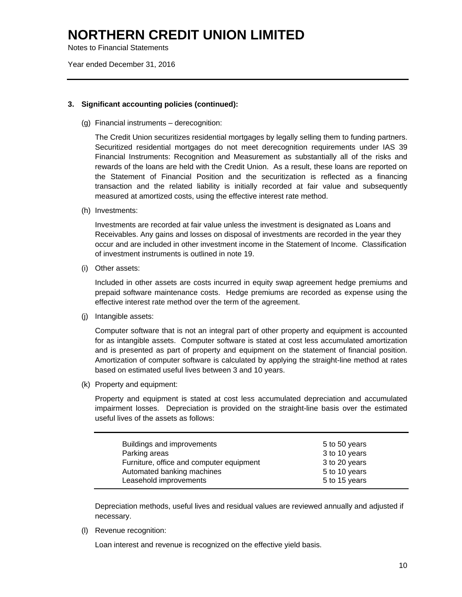Notes to Financial Statements

Year ended December 31, 2016

### **3. Significant accounting policies (continued):**

(g) Financial instruments – derecognition:

The Credit Union securitizes residential mortgages by legally selling them to funding partners. Securitized residential mortgages do not meet derecognition requirements under IAS 39 Financial Instruments: Recognition and Measurement as substantially all of the risks and rewards of the loans are held with the Credit Union. As a result, these loans are reported on the Statement of Financial Position and the securitization is reflected as a financing transaction and the related liability is initially recorded at fair value and subsequently measured at amortized costs, using the effective interest rate method.

(h) Investments:

 Investments are recorded at fair value unless the investment is designated as Loans and Receivables. Any gains and losses on disposal of investments are recorded in the year they occur and are included in other investment income in the Statement of Income. Classification of investment instruments is outlined in note 19.

(i) Other assets:

 Included in other assets are costs incurred in equity swap agreement hedge premiums and prepaid software maintenance costs. Hedge premiums are recorded as expense using the effective interest rate method over the term of the agreement.

(j) Intangible assets:

Computer software that is not an integral part of other property and equipment is accounted for as intangible assets. Computer software is stated at cost less accumulated amortization and is presented as part of property and equipment on the statement of financial position. Amortization of computer software is calculated by applying the straight-line method at rates based on estimated useful lives between 3 and 10 years.

(k) Property and equipment:

 Property and equipment is stated at cost less accumulated depreciation and accumulated impairment losses. Depreciation is provided on the straight-line basis over the estimated useful lives of the assets as follows:

| Buildings and improvements               | 5 to 50 years |
|------------------------------------------|---------------|
| Parking areas                            | 3 to 10 years |
| Furniture, office and computer equipment | 3 to 20 years |
| Automated banking machines               | 5 to 10 years |
| Leasehold improvements                   | 5 to 15 years |
|                                          |               |

Depreciation methods, useful lives and residual values are reviewed annually and adjusted if necessary.

(l) Revenue recognition:

Loan interest and revenue is recognized on the effective yield basis.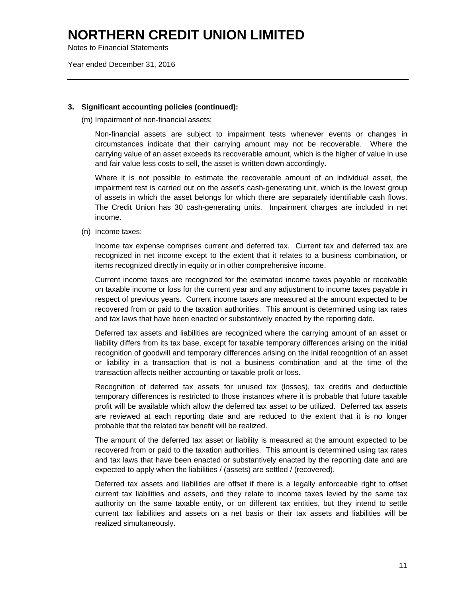Notes to Financial Statements

Year ended December 31, 2016

#### **3. Significant accounting policies (continued):**

(m) Impairment of non-financial assets:

Non-financial assets are subject to impairment tests whenever events or changes in circumstances indicate that their carrying amount may not be recoverable. Where the carrying value of an asset exceeds its recoverable amount, which is the higher of value in use and fair value less costs to sell, the asset is written down accordingly.

Where it is not possible to estimate the recoverable amount of an individual asset, the impairment test is carried out on the asset's cash-generating unit, which is the lowest group of assets in which the asset belongs for which there are separately identifiable cash flows. The Credit Union has 30 cash-generating units. Impairment charges are included in net income.

(n) Income taxes:

 Income tax expense comprises current and deferred tax. Current tax and deferred tax are recognized in net income except to the extent that it relates to a business combination, or items recognized directly in equity or in other comprehensive income.

 Current income taxes are recognized for the estimated income taxes payable or receivable on taxable income or loss for the current year and any adjustment to income taxes payable in respect of previous years. Current income taxes are measured at the amount expected to be recovered from or paid to the taxation authorities. This amount is determined using tax rates and tax laws that have been enacted or substantively enacted by the reporting date.

 Deferred tax assets and liabilities are recognized where the carrying amount of an asset or liability differs from its tax base, except for taxable temporary differences arising on the initial recognition of goodwill and temporary differences arising on the initial recognition of an asset or liability in a transaction that is not a business combination and at the time of the transaction affects neither accounting or taxable profit or loss.

 Recognition of deferred tax assets for unused tax (losses), tax credits and deductible temporary differences is restricted to those instances where it is probable that future taxable profit will be available which allow the deferred tax asset to be utilized. Deferred tax assets are reviewed at each reporting date and are reduced to the extent that it is no longer probable that the related tax benefit will be realized.

 The amount of the deferred tax asset or liability is measured at the amount expected to be recovered from or paid to the taxation authorities. This amount is determined using tax rates and tax laws that have been enacted or substantively enacted by the reporting date and are expected to apply when the liabilities / (assets) are settled / (recovered).

Deferred tax assets and liabilities are offset if there is a legally enforceable right to offset current tax liabilities and assets, and they relate to income taxes levied by the same tax authority on the same taxable entity, or on different tax entities, but they intend to settle current tax liabilities and assets on a net basis or their tax assets and liabilities will be realized simultaneously.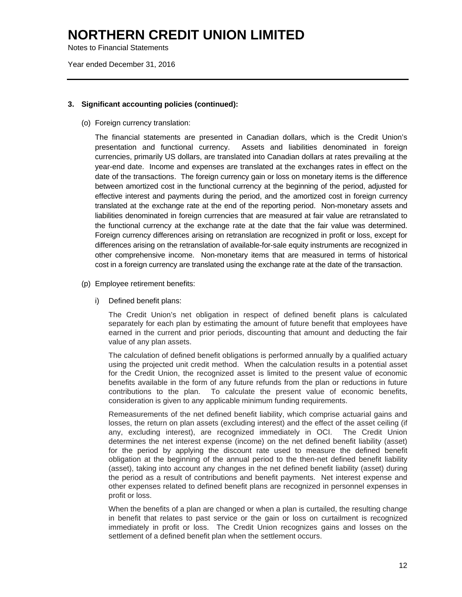Notes to Financial Statements

Year ended December 31, 2016

#### **3. Significant accounting policies (continued):**

(o) Foreign currency translation:

 The financial statements are presented in Canadian dollars, which is the Credit Union's presentation and functional currency. Assets and liabilities denominated in foreign currencies, primarily US dollars, are translated into Canadian dollars at rates prevailing at the year-end date. Income and expenses are translated at the exchanges rates in effect on the date of the transactions. The foreign currency gain or loss on monetary items is the difference between amortized cost in the functional currency at the beginning of the period, adjusted for effective interest and payments during the period, and the amortized cost in foreign currency translated at the exchange rate at the end of the reporting period. Non-monetary assets and liabilities denominated in foreign currencies that are measured at fair value are retranslated to the functional currency at the exchange rate at the date that the fair value was determined. Foreign currency differences arising on retranslation are recognized in profit or loss, except for differences arising on the retranslation of available-for-sale equity instruments are recognized in other comprehensive income. Non-monetary items that are measured in terms of historical cost in a foreign currency are translated using the exchange rate at the date of the transaction.

- (p) Employee retirement benefits:
	- i) Defined benefit plans:

The Credit Union's net obligation in respect of defined benefit plans is calculated separately for each plan by estimating the amount of future benefit that employees have earned in the current and prior periods, discounting that amount and deducting the fair value of any plan assets.

The calculation of defined benefit obligations is performed annually by a qualified actuary using the projected unit credit method. When the calculation results in a potential asset for the Credit Union, the recognized asset is limited to the present value of economic benefits available in the form of any future refunds from the plan or reductions in future contributions to the plan. To calculate the present value of economic benefits, consideration is given to any applicable minimum funding requirements.

Remeasurements of the net defined benefit liability, which comprise actuarial gains and losses, the return on plan assets (excluding interest) and the effect of the asset ceiling (if any, excluding interest), are recognized immediately in OCI. The Credit Union determines the net interest expense (income) on the net defined benefit liability (asset) for the period by applying the discount rate used to measure the defined benefit obligation at the beginning of the annual period to the then-net defined benefit liability (asset), taking into account any changes in the net defined benefit liability (asset) during the period as a result of contributions and benefit payments. Net interest expense and other expenses related to defined benefit plans are recognized in personnel expenses in profit or loss.

When the benefits of a plan are changed or when a plan is curtailed, the resulting change in benefit that relates to past service or the gain or loss on curtailment is recognized immediately in profit or loss. The Credit Union recognizes gains and losses on the settlement of a defined benefit plan when the settlement occurs.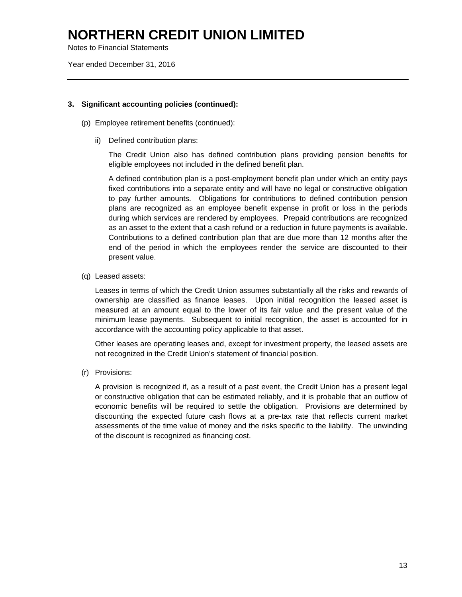Notes to Financial Statements

Year ended December 31, 2016

### **3. Significant accounting policies (continued):**

- (p) Employee retirement benefits (continued):
	- ii) Defined contribution plans:

The Credit Union also has defined contribution plans providing pension benefits for eligible employees not included in the defined benefit plan.

A defined contribution plan is a post-employment benefit plan under which an entity pays fixed contributions into a separate entity and will have no legal or constructive obligation to pay further amounts. Obligations for contributions to defined contribution pension plans are recognized as an employee benefit expense in profit or loss in the periods during which services are rendered by employees. Prepaid contributions are recognized as an asset to the extent that a cash refund or a reduction in future payments is available. Contributions to a defined contribution plan that are due more than 12 months after the end of the period in which the employees render the service are discounted to their present value.

(q) Leased assets:

 Leases in terms of which the Credit Union assumes substantially all the risks and rewards of ownership are classified as finance leases. Upon initial recognition the leased asset is measured at an amount equal to the lower of its fair value and the present value of the minimum lease payments. Subsequent to initial recognition, the asset is accounted for in accordance with the accounting policy applicable to that asset.

 Other leases are operating leases and, except for investment property, the leased assets are not recognized in the Credit Union's statement of financial position.

(r) Provisions:

A provision is recognized if, as a result of a past event, the Credit Union has a present legal or constructive obligation that can be estimated reliably, and it is probable that an outflow of economic benefits will be required to settle the obligation. Provisions are determined by discounting the expected future cash flows at a pre-tax rate that reflects current market assessments of the time value of money and the risks specific to the liability. The unwinding of the discount is recognized as financing cost.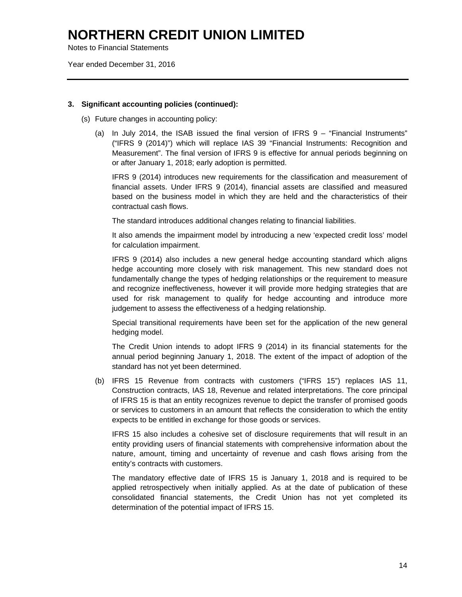Notes to Financial Statements

Year ended December 31, 2016

### **3. Significant accounting policies (continued):**

- (s) Future changes in accounting policy:
	- (a) In July 2014, the ISAB issued the final version of IFRS 9 "Financial Instruments" ("IFRS 9 (2014)") which will replace IAS 39 "Financial Instruments: Recognition and Measurement". The final version of IFRS 9 is effective for annual periods beginning on or after January 1, 2018; early adoption is permitted.

IFRS 9 (2014) introduces new requirements for the classification and measurement of financial assets. Under IFRS 9 (2014), financial assets are classified and measured based on the business model in which they are held and the characteristics of their contractual cash flows.

The standard introduces additional changes relating to financial liabilities.

It also amends the impairment model by introducing a new 'expected credit loss' model for calculation impairment.

IFRS 9 (2014) also includes a new general hedge accounting standard which aligns hedge accounting more closely with risk management. This new standard does not fundamentally change the types of hedging relationships or the requirement to measure and recognize ineffectiveness, however it will provide more hedging strategies that are used for risk management to qualify for hedge accounting and introduce more judgement to assess the effectiveness of a hedging relationship.

Special transitional requirements have been set for the application of the new general hedging model.

The Credit Union intends to adopt IFRS 9 (2014) in its financial statements for the annual period beginning January 1, 2018. The extent of the impact of adoption of the standard has not yet been determined.

(b) IFRS 15 Revenue from contracts with customers ("IFRS 15") replaces IAS 11, Construction contracts, IAS 18, Revenue and related interpretations. The core principal of IFRS 15 is that an entity recognizes revenue to depict the transfer of promised goods or services to customers in an amount that reflects the consideration to which the entity expects to be entitled in exchange for those goods or services.

IFRS 15 also includes a cohesive set of disclosure requirements that will result in an entity providing users of financial statements with comprehensive information about the nature, amount, timing and uncertainty of revenue and cash flows arising from the entity's contracts with customers.

The mandatory effective date of IFRS 15 is January 1, 2018 and is required to be applied retrospectively when initially applied. As at the date of publication of these consolidated financial statements, the Credit Union has not yet completed its determination of the potential impact of IFRS 15.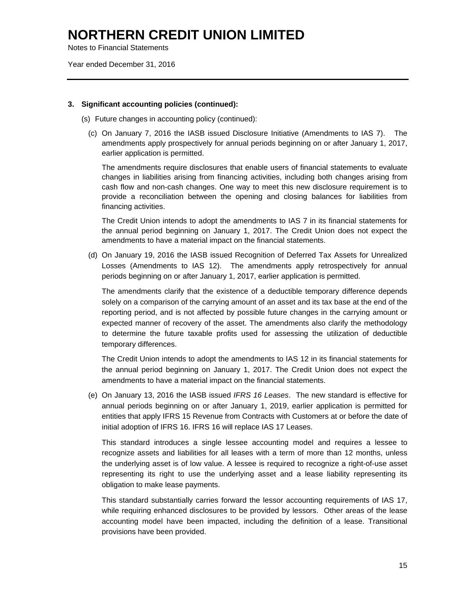Notes to Financial Statements

Year ended December 31, 2016

#### **3. Significant accounting policies (continued):**

- (s) Future changes in accounting policy (continued):
	- (c) On January 7, 2016 the IASB issued Disclosure Initiative (Amendments to IAS 7). The amendments apply prospectively for annual periods beginning on or after January 1, 2017, earlier application is permitted.

The amendments require disclosures that enable users of financial statements to evaluate changes in liabilities arising from financing activities, including both changes arising from cash flow and non-cash changes. One way to meet this new disclosure requirement is to provide a reconciliation between the opening and closing balances for liabilities from financing activities.

The Credit Union intends to adopt the amendments to IAS 7 in its financial statements for the annual period beginning on January 1, 2017. The Credit Union does not expect the amendments to have a material impact on the financial statements.

(d) On January 19, 2016 the IASB issued Recognition of Deferred Tax Assets for Unrealized Losses (Amendments to IAS 12). The amendments apply retrospectively for annual periods beginning on or after January 1, 2017, earlier application is permitted.

The amendments clarify that the existence of a deductible temporary difference depends solely on a comparison of the carrying amount of an asset and its tax base at the end of the reporting period, and is not affected by possible future changes in the carrying amount or expected manner of recovery of the asset. The amendments also clarify the methodology to determine the future taxable profits used for assessing the utilization of deductible temporary differences.

The Credit Union intends to adopt the amendments to IAS 12 in its financial statements for the annual period beginning on January 1, 2017. The Credit Union does not expect the amendments to have a material impact on the financial statements.

(e) On January 13, 2016 the IASB issued *IFRS 16 Leases*. The new standard is effective for annual periods beginning on or after January 1, 2019, earlier application is permitted for entities that apply IFRS 15 Revenue from Contracts with Customers at or before the date of initial adoption of IFRS 16. IFRS 16 will replace IAS 17 Leases.

This standard introduces a single lessee accounting model and requires a lessee to recognize assets and liabilities for all leases with a term of more than 12 months, unless the underlying asset is of low value. A lessee is required to recognize a right-of-use asset representing its right to use the underlying asset and a lease liability representing its obligation to make lease payments.

This standard substantially carries forward the lessor accounting requirements of IAS 17, while requiring enhanced disclosures to be provided by lessors. Other areas of the lease accounting model have been impacted, including the definition of a lease. Transitional provisions have been provided.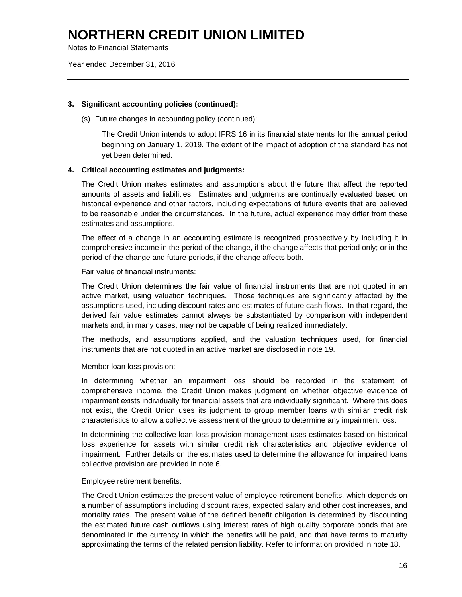Notes to Financial Statements

Year ended December 31, 2016

### **3. Significant accounting policies (continued):**

(s) Future changes in accounting policy (continued):

The Credit Union intends to adopt IFRS 16 in its financial statements for the annual period beginning on January 1, 2019. The extent of the impact of adoption of the standard has not yet been determined.

### **4. Critical accounting estimates and judgments:**

The Credit Union makes estimates and assumptions about the future that affect the reported amounts of assets and liabilities. Estimates and judgments are continually evaluated based on historical experience and other factors, including expectations of future events that are believed to be reasonable under the circumstances. In the future, actual experience may differ from these estimates and assumptions.

The effect of a change in an accounting estimate is recognized prospectively by including it in comprehensive income in the period of the change, if the change affects that period only; or in the period of the change and future periods, if the change affects both.

Fair value of financial instruments:

The Credit Union determines the fair value of financial instruments that are not quoted in an active market, using valuation techniques. Those techniques are significantly affected by the assumptions used, including discount rates and estimates of future cash flows. In that regard, the derived fair value estimates cannot always be substantiated by comparison with independent markets and, in many cases, may not be capable of being realized immediately.

The methods, and assumptions applied, and the valuation techniques used, for financial instruments that are not quoted in an active market are disclosed in note 19.

#### Member loan loss provision:

In determining whether an impairment loss should be recorded in the statement of comprehensive income, the Credit Union makes judgment on whether objective evidence of impairment exists individually for financial assets that are individually significant. Where this does not exist, the Credit Union uses its judgment to group member loans with similar credit risk characteristics to allow a collective assessment of the group to determine any impairment loss.

In determining the collective loan loss provision management uses estimates based on historical loss experience for assets with similar credit risk characteristics and objective evidence of impairment. Further details on the estimates used to determine the allowance for impaired loans collective provision are provided in note 6.

#### Employee retirement benefits:

The Credit Union estimates the present value of employee retirement benefits, which depends on a number of assumptions including discount rates, expected salary and other cost increases, and mortality rates. The present value of the defined benefit obligation is determined by discounting the estimated future cash outflows using interest rates of high quality corporate bonds that are denominated in the currency in which the benefits will be paid, and that have terms to maturity approximating the terms of the related pension liability. Refer to information provided in note 18.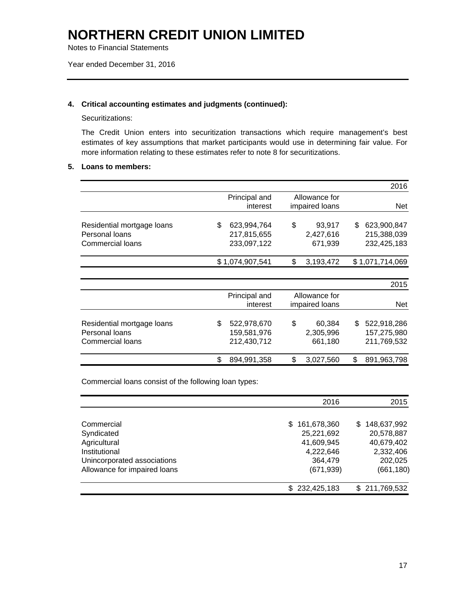Notes to Financial Statements

Year ended December 31, 2016

### **4. Critical accounting estimates and judgments (continued):**

Securitizations:

The Credit Union enters into securitization transactions which require management's best estimates of key assumptions that market participants would use in determining fair value. For more information relating to these estimates refer to note 8 for securitizations.

### **5. Loans to members:**

|                                                                  |                                                 |                                      |     | 2016                                      |
|------------------------------------------------------------------|-------------------------------------------------|--------------------------------------|-----|-------------------------------------------|
|                                                                  | Principal and<br>interest                       | Allowance for<br>impaired loans      |     | Net                                       |
| Residential mortgage loans<br>Personal loans<br>Commercial loans | \$<br>623,994,764<br>217,815,655<br>233,097,122 | \$<br>93,917<br>2,427,616<br>671,939 | \$. | 623,900,847<br>215,388,039<br>232,425,183 |
|                                                                  | \$1,074,907,541                                 | \$<br>3,193,472                      |     | \$1,071,714,069                           |
|                                                                  |                                                 |                                      |     | 2015                                      |
|                                                                  | Principal and<br>interest                       | Allowance for<br>impaired loans      |     | <b>Net</b>                                |
| Residential mortgage loans<br>Personal loans<br>Commercial loans | \$<br>522,978,670<br>159,581,976<br>212,430,712 | \$<br>60,384<br>2,305,996<br>661,180 | \$. | 522,918,286<br>157,275,980<br>211,769,532 |
|                                                                  | \$<br>894,991,358                               | \$<br>3,027,560                      | \$  | 891,963,798                               |

Commercial loans consist of the following loan types:

|                              | 2016               | 2015             |
|------------------------------|--------------------|------------------|
|                              |                    |                  |
| Commercial                   | 161,678,360<br>\$. | 148,637,992<br>S |
| Syndicated                   | 25,221,692         | 20,578,887       |
| Agricultural                 | 41,609,945         | 40,679,402       |
| Institutional                | 4,222,646          | 2,332,406        |
| Unincorporated associations  | 364,479            | 202,025          |
| Allowance for impaired loans | (671, 939)         | (661, 180)       |
|                              | \$232,425,183      | \$211,769,532    |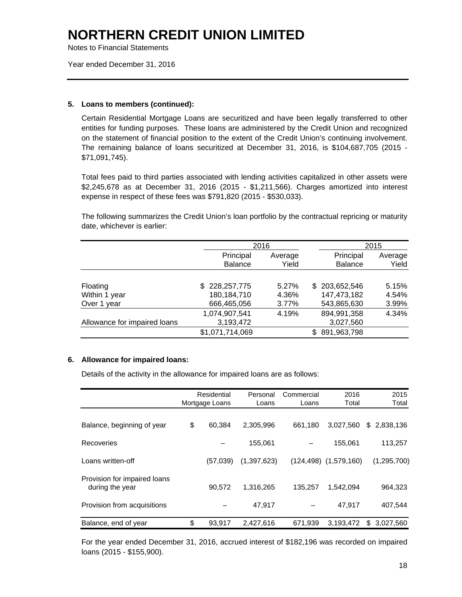Notes to Financial Statements

Year ended December 31, 2016

### **5. Loans to members (continued):**

Certain Residential Mortgage Loans are securitized and have been legally transferred to other entities for funding purposes. These loans are administered by the Credit Union and recognized on the statement of financial position to the extent of the Credit Union's continuing involvement. The remaining balance of loans securitized at December 31, 2016, is \$104,687,705 (2015 - \$71,091,745).

Total fees paid to third parties associated with lending activities capitalized in other assets were \$2,245,678 as at December 31, 2016 (2015 - \$1,211,566). Charges amortized into interest expense in respect of these fees was \$791,820 (2015 - \$530,033).

The following summarizes the Credit Union's loan portfolio by the contractual repricing or maturity date, whichever is earlier:

|                              |                 | 2016    |     |                | 2015    |
|------------------------------|-----------------|---------|-----|----------------|---------|
|                              | Principal       | Average |     | Principal      | Average |
|                              | <b>Balance</b>  | Yield   |     | <b>Balance</b> | Yield   |
|                              |                 |         |     |                |         |
| Floating                     | \$228,257,775   | 5.27%   |     | \$203,652,546  | 5.15%   |
| Within 1 year                | 180, 184, 710   | 4.36%   |     | 147,473,182    | 4.54%   |
| Over 1 year                  | 666,465,056     | 3.77%   |     | 543,865,630    | 3.99%   |
|                              | 1,074,907,541   | 4.19%   |     | 894,991,358    | 4.34%   |
| Allowance for impaired loans | 3,193,472       |         |     | 3,027,560      |         |
|                              | \$1,071,714,069 |         | \$. | 891,963,798    |         |

#### **6. Allowance for impaired loans:**

Details of the activity in the allowance for impaired loans are as follows:

|                                                 | Residential    | Personal    | Commercial | 2016                         | 2015            |
|-------------------------------------------------|----------------|-------------|------------|------------------------------|-----------------|
|                                                 | Mortgage Loans | Loans       | Loans      | Total                        | Total           |
|                                                 |                |             |            |                              |                 |
| Balance, beginning of year                      | \$<br>60.384   | 2,305,996   | 661,180    | 3,027,560                    | \$<br>2,838,136 |
| <b>Recoveries</b>                               |                | 155,061     |            | 155,061                      | 113,257         |
| Loans written-off                               | (57,039)       | (1,397,623) |            | $(124, 498)$ $(1, 579, 160)$ | (1,295,700)     |
| Provision for impaired loans<br>during the year | 90.572         | 1.316.265   | 135.257    | 1.542.094                    | 964,323         |
| Provision from acquisitions                     |                | 47,917      |            | 47.917                       | 407,544         |
| Balance, end of year                            | \$<br>93.917   | 2,427,616   | 671.939    | 3.193.472                    | \$<br>3.027.560 |

For the year ended December 31, 2016, accrued interest of \$182,196 was recorded on impaired loans (2015 - \$155,900).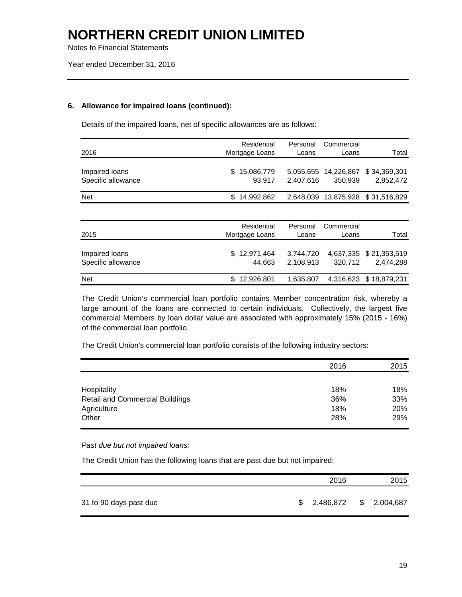Notes to Financial Statements

Year ended December 31, 2016

### **6. Allowance for impaired loans (continued):**

Details of the impaired loans, net of specific allowances are as follows:

|                                      | Residential                   | Personal               | Commercial            |                           |
|--------------------------------------|-------------------------------|------------------------|-----------------------|---------------------------|
| 2016                                 | Mortgage Loans                | Loans                  | Loans                 | Total                     |
| Impaired loans<br>Specific allowance | 15,086,779<br>\$<br>93,917    | 5,055,655<br>2,407,616 | 14,226,867<br>350,939 | \$34,369,301<br>2,852,472 |
| <b>Net</b>                           | 14,992,862<br>S               |                        | 2,648,039 13,875,928  | \$31,516,829              |
|                                      |                               |                        |                       |                           |
| 2015                                 | Residential<br>Mortgage Loans | Personal<br>Loans      | Commercial<br>Loans   | Total                     |
| Impaired loans<br>Specific allowance | 12,971,464<br>\$<br>44,663    | 3.744.720<br>2,108,913 | 4,637,335<br>320.712  | \$21,353,519<br>2,474,288 |
| <b>Net</b>                           | 12,926,801<br>S               | 1,635,807              | 4,316,623             | \$18,879,231              |

The Credit Union's commercial loan portfolio contains Member concentration risk, whereby a large amount of the loans are connected to certain individuals. Collectively, the largest five commercial Members by loan dollar value are associated with approximately 15% (2015 - 16%) of the commercial loan portfolio.

The Credit Union's commercial loan portfolio consists of the following industry sectors:

|                                        | 2016 | 2015 |
|----------------------------------------|------|------|
|                                        |      |      |
| Hospitality                            | 18%  | 18%  |
| <b>Retail and Commercial Buildings</b> | 36%  | 33%  |
| Agriculture                            | 18%  | 20%  |
| Other                                  | 28%  | 29%  |

*Past due but not impaired loans:* 

The Credit Union has the following loans that are past due but not impaired:

|                        |     | 2016      | 2015        |
|------------------------|-----|-----------|-------------|
| 31 to 90 days past due | \$. | 2,486,872 | \$2,004,687 |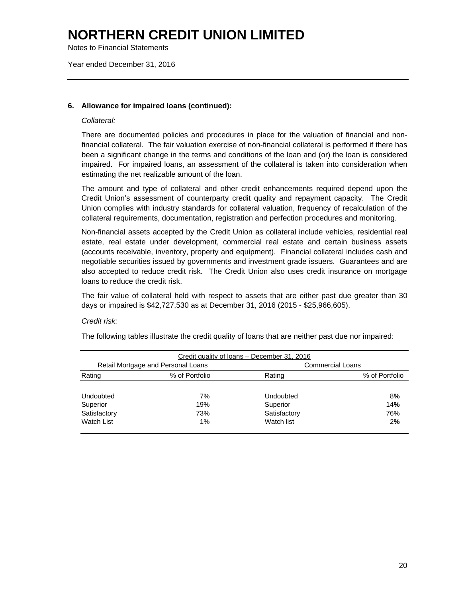Notes to Financial Statements

Year ended December 31, 2016

### **6. Allowance for impaired loans (continued):**

#### *Collateral:*

There are documented policies and procedures in place for the valuation of financial and nonfinancial collateral. The fair valuation exercise of non-financial collateral is performed if there has been a significant change in the terms and conditions of the loan and (or) the loan is considered impaired. For impaired loans, an assessment of the collateral is taken into consideration when estimating the net realizable amount of the loan.

The amount and type of collateral and other credit enhancements required depend upon the Credit Union's assessment of counterparty credit quality and repayment capacity. The Credit Union complies with industry standards for collateral valuation, frequency of recalculation of the collateral requirements, documentation, registration and perfection procedures and monitoring.

Non-financial assets accepted by the Credit Union as collateral include vehicles, residential real estate, real estate under development, commercial real estate and certain business assets (accounts receivable, inventory, property and equipment). Financial collateral includes cash and negotiable securities issued by governments and investment grade issuers. Guarantees and are also accepted to reduce credit risk. The Credit Union also uses credit insurance on mortgage loans to reduce the credit risk.

The fair value of collateral held with respect to assets that are either past due greater than 30 days or impaired is \$42,727,530 as at December 31, 2016 (2015 - \$25,966,605).

### *Credit risk:*

The following tables illustrate the credit quality of loans that are neither past due nor impaired:

| Credit quality of loans - December 31, 2016 |                                    |              |                         |  |
|---------------------------------------------|------------------------------------|--------------|-------------------------|--|
|                                             | Retail Mortgage and Personal Loans |              | <b>Commercial Loans</b> |  |
| Rating                                      | % of Portfolio                     | Rating       | % of Portfolio          |  |
|                                             |                                    |              |                         |  |
| Undoubted                                   | 7%                                 | Undoubted    | 8%                      |  |
| Superior                                    | 19%                                | Superior     | 14%                     |  |
| Satisfactory                                | 73%                                | Satisfactory | 76%                     |  |
| Watch List                                  | 1%                                 | Watch list   | 2%                      |  |
|                                             |                                    |              |                         |  |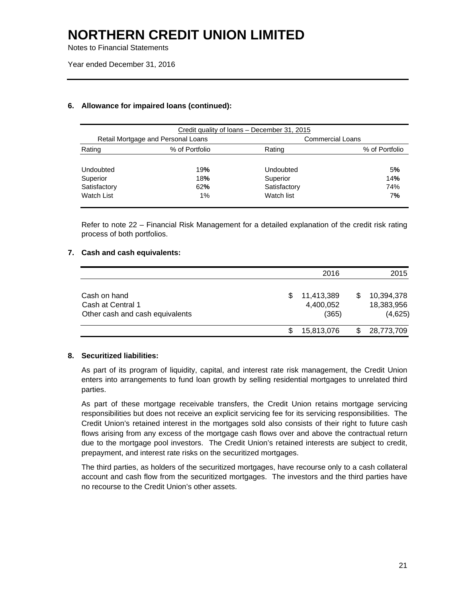Notes to Financial Statements

Year ended December 31, 2016

### **6. Allowance for impaired loans (continued):**

|              | Retail Mortgage and Personal Loans | Credit quality of loans - December 31, 2015 | <b>Commercial Loans</b> |
|--------------|------------------------------------|---------------------------------------------|-------------------------|
| Rating       | % of Portfolio                     | Rating                                      | % of Portfolio          |
| Undoubted    | 19%                                | Undoubted                                   | 5%                      |
| Superior     | 18%                                | Superior                                    | 14%                     |
| Satisfactory | 62%                                | Satisfactory                                | 74%                     |
| Watch List   | $1\%$                              | Watch list                                  | 7%                      |

Refer to note 22 – Financial Risk Management for a detailed explanation of the credit risk rating process of both portfolios.

### **7. Cash and cash equivalents:**

|                                 | 2016       | 2015       |
|---------------------------------|------------|------------|
| Cash on hand                    | 11,413,389 | 10,394,378 |
| Cash at Central 1               | 4,400,052  | 18,383,956 |
| Other cash and cash equivalents | (365)      | (4,625)    |
|                                 | 15,813,076 | 28,773,709 |

#### **8. Securitized liabilities:**

 As part of its program of liquidity, capital, and interest rate risk management, the Credit Union enters into arrangements to fund loan growth by selling residential mortgages to unrelated third parties.

 As part of these mortgage receivable transfers, the Credit Union retains mortgage servicing responsibilities but does not receive an explicit servicing fee for its servicing responsibilities. The Credit Union's retained interest in the mortgages sold also consists of their right to future cash flows arising from any excess of the mortgage cash flows over and above the contractual return due to the mortgage pool investors. The Credit Union's retained interests are subject to credit, prepayment, and interest rate risks on the securitized mortgages.

 The third parties, as holders of the securitized mortgages, have recourse only to a cash collateral account and cash flow from the securitized mortgages. The investors and the third parties have no recourse to the Credit Union's other assets.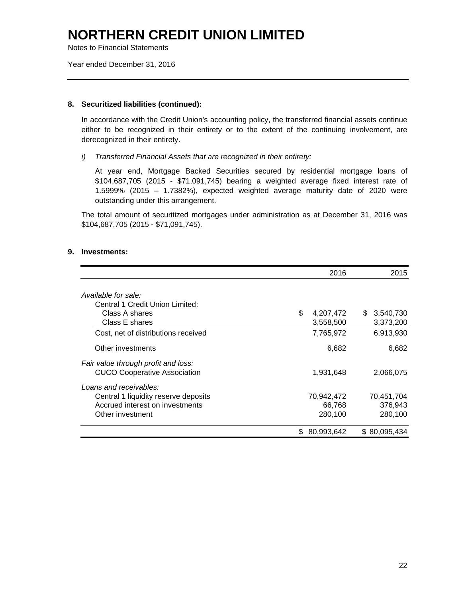Notes to Financial Statements

Year ended December 31, 2016

### **8. Securitized liabilities (continued):**

In accordance with the Credit Union's accounting policy, the transferred financial assets continue either to be recognized in their entirety or to the extent of the continuing involvement, are derecognized in their entirety.

*i) Transferred Financial Assets that are recognized in their entirety:* 

At year end, Mortgage Backed Securities secured by residential mortgage loans of \$104,687,705 (2015 - \$71,091,745) bearing a weighted average fixed interest rate of 1.5999% (2015 – 1.7382%), expected weighted average maturity date of 2020 were outstanding under this arrangement.

The total amount of securitized mortgages under administration as at December 31, 2016 was \$104,687,705 (2015 - \$71,091,745).

### **9. Investments:**

|                                                                            | 2016            | 2015         |
|----------------------------------------------------------------------------|-----------------|--------------|
| Available for sale:                                                        |                 |              |
| Central 1 Credit Union Limited:                                            |                 |              |
| Class A shares                                                             | \$<br>4,207,472 | \$ 3,540,730 |
| Class E shares                                                             | 3,558,500       | 3,373,200    |
| Cost, net of distributions received                                        | 7,765,972       | 6,913,930    |
| Other investments                                                          | 6,682           | 6,682        |
| Fair value through profit and loss:<br><b>CUCO Cooperative Association</b> | 1,931,648       | 2,066,075    |
| Loans and receivables:                                                     |                 |              |
| Central 1 liquidity reserve deposits                                       | 70,942,472      | 70,451,704   |
| Accrued interest on investments                                            | 66,768          | 376,943      |
| Other investment                                                           | 280,100         | 280,100      |
|                                                                            | 80,993,642<br>S | \$80,095,434 |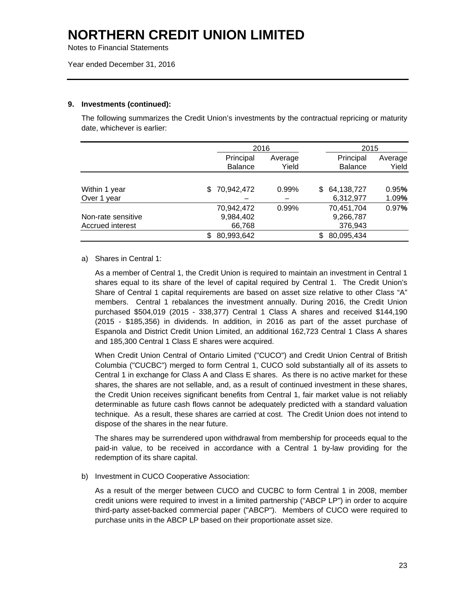Notes to Financial Statements

Year ended December 31, 2016

### **9. Investments (continued):**

The following summarizes the Credit Union's investments by the contractual repricing or maturity date, whichever is earlier:

|                    |                   | 2016    |                   | 2015    |
|--------------------|-------------------|---------|-------------------|---------|
|                    | Principal         | Average | Principal         | Average |
|                    | <b>Balance</b>    | Yield   | Balance           | Yield   |
|                    |                   |         |                   |         |
| Within 1 year      | 70,942,472<br>\$. | 0.99%   | 64,138,727<br>\$. | 0.95%   |
| Over 1 year        |                   |         | 6,312,977         | 1.09%   |
|                    | 70,942,472        | 0.99%   | 70,451,704        | 0.97%   |
| Non-rate sensitive | 9,984,402         |         | 9,266,787         |         |
| Accrued interest   | 66,768            |         | 376,943           |         |
|                    | 80,993,642<br>S   |         | 80,095,434        |         |

### a) Shares in Central 1:

As a member of Central 1, the Credit Union is required to maintain an investment in Central 1 shares equal to its share of the level of capital required by Central 1. The Credit Union's Share of Central 1 capital requirements are based on asset size relative to other Class "A" members. Central 1 rebalances the investment annually. During 2016, the Credit Union purchased \$504,019 (2015 - 338,377) Central 1 Class A shares and received \$144,190 (2015 - \$185,356) in dividends. In addition, in 2016 as part of the asset purchase of Espanola and District Credit Union Limited, an additional 162,723 Central 1 Class A shares and 185,300 Central 1 Class E shares were acquired.

When Credit Union Central of Ontario Limited ("CUCO") and Credit Union Central of British Columbia ("CUCBC") merged to form Central 1, CUCO sold substantially all of its assets to Central 1 in exchange for Class A and Class E shares. As there is no active market for these shares, the shares are not sellable, and, as a result of continued investment in these shares, the Credit Union receives significant benefits from Central 1, fair market value is not reliably determinable as future cash flows cannot be adequately predicted with a standard valuation technique. As a result, these shares are carried at cost. The Credit Union does not intend to dispose of the shares in the near future.

The shares may be surrendered upon withdrawal from membership for proceeds equal to the paid-in value, to be received in accordance with a Central 1 by-law providing for the redemption of its share capital.

b) Investment in CUCO Cooperative Association:

 As a result of the merger between CUCO and CUCBC to form Central 1 in 2008, member credit unions were required to invest in a limited partnership ("ABCP LP") in order to acquire third-party asset-backed commercial paper ("ABCP"). Members of CUCO were required to purchase units in the ABCP LP based on their proportionate asset size.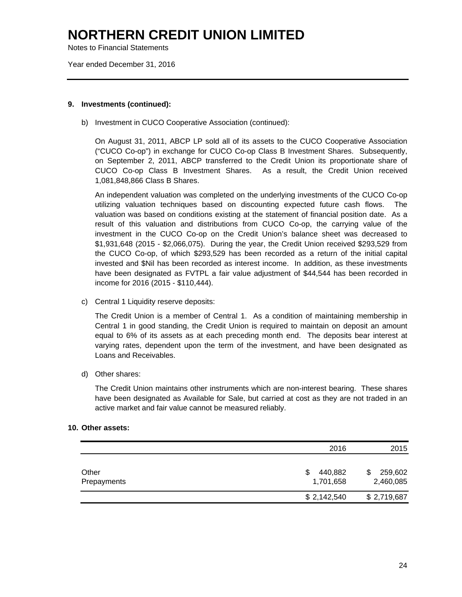Notes to Financial Statements

Year ended December 31, 2016

### **9. Investments (continued):**

b) Investment in CUCO Cooperative Association (continued):

On August 31, 2011, ABCP LP sold all of its assets to the CUCO Cooperative Association ("CUCO Co-op") in exchange for CUCO Co-op Class B Investment Shares. Subsequently, on September 2, 2011, ABCP transferred to the Credit Union its proportionate share of CUCO Co-op Class B Investment Shares. As a result, the Credit Union received 1,081,848,866 Class B Shares.

An independent valuation was completed on the underlying investments of the CUCO Co-op utilizing valuation techniques based on discounting expected future cash flows. The valuation was based on conditions existing at the statement of financial position date. As a result of this valuation and distributions from CUCO Co-op, the carrying value of the investment in the CUCO Co-op on the Credit Union's balance sheet was decreased to \$1,931,648 (2015 - \$2,066,075). During the year, the Credit Union received \$293,529 from the CUCO Co-op, of which \$293,529 has been recorded as a return of the initial capital invested and \$Nil has been recorded as interest income. In addition, as these investments have been designated as FVTPL a fair value adjustment of \$44,544 has been recorded in income for 2016 (2015 - \$110,444).

c) Central 1 Liquidity reserve deposits:

The Credit Union is a member of Central 1. As a condition of maintaining membership in Central 1 in good standing, the Credit Union is required to maintain on deposit an amount equal to 6% of its assets as at each preceding month end. The deposits bear interest at varying rates, dependent upon the term of the investment, and have been designated as Loans and Receivables.

d) Other shares:

The Credit Union maintains other instruments which are non-interest bearing. These shares have been designated as Available for Sale, but carried at cost as they are not traded in an active market and fair value cannot be measured reliably.

#### **10. Other assets:**

|                      | 2016                       | 2015                      |
|----------------------|----------------------------|---------------------------|
| Other<br>Prepayments | 440,882<br>\$<br>1,701,658 | 259,602<br>S<br>2,460,085 |
|                      | \$2,142,540                | \$2,719,687               |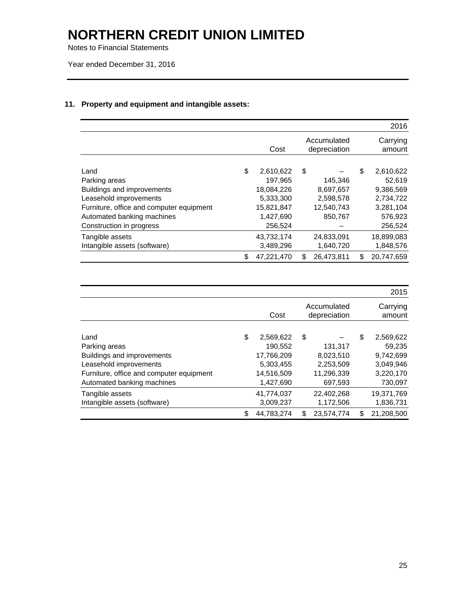Notes to Financial Statements

Year ended December 31, 2016

### **11. Property and equipment and intangible assets:**

|                                          |                  |    |                             | 2016               |
|------------------------------------------|------------------|----|-----------------------------|--------------------|
|                                          | Cost             |    | Accumulated<br>depreciation | Carrying<br>amount |
| Land                                     | \$<br>2,610,622  | \$ |                             | \$<br>2,610,622    |
| Parking areas                            | 197,965          |    | 145,346                     | 52,619             |
| Buildings and improvements               | 18,084,226       |    | 8,697,657                   | 9,386,569          |
| Leasehold improvements                   | 5,333,300        |    | 2,598,578                   | 2,734,722          |
| Furniture, office and computer equipment | 15,821,847       |    | 12,540,743                  | 3,281,104          |
| Automated banking machines               | 1,427,690        |    | 850,767                     | 576,923            |
| Construction in progress                 | 256,524          |    |                             | 256,524            |
| Tangible assets                          | 43,732,174       |    | 24,833,091                  | 18,899,083         |
| Intangible assets (software)             | 3,489,296        |    | 1,640,720                   | 1,848,576          |
|                                          | \$<br>47,221,470 | S  | 26,473,811                  | \$<br>20.747.659   |

|                                          |                  |    |                             | 2015               |
|------------------------------------------|------------------|----|-----------------------------|--------------------|
|                                          | Cost             |    | Accumulated<br>depreciation | Carrying<br>amount |
| Land                                     | \$<br>2,569,622  | \$ |                             | \$<br>2,569,622    |
| Parking areas                            | 190,552          |    | 131,317                     | 59,235             |
| Buildings and improvements               | 17.766.209       |    | 8,023,510                   | 9,742,699          |
| Leasehold improvements                   | 5,303,455        |    | 2,253,509                   | 3,049,946          |
| Furniture, office and computer equipment | 14,516,509       |    | 11,296,339                  | 3,220,170          |
| Automated banking machines               | 1,427,690        |    | 697,593                     | 730,097            |
| Tangible assets                          | 41,774,037       |    | 22,402,268                  | 19,371,769         |
| Intangible assets (software)             | 3,009,237        |    | 1,172,506                   | 1,836,731          |
|                                          | \$<br>44,783,274 | S  | 23,574,774                  | \$<br>21,208,500   |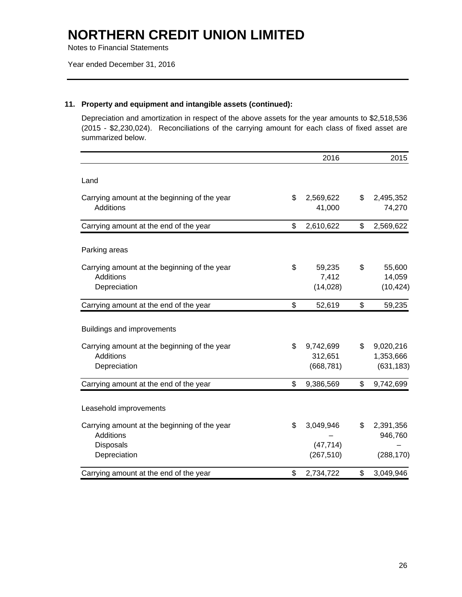Notes to Financial Statements

Year ended December 31, 2016

### **11. Property and equipment and intangible assets (continued):**

Depreciation and amortization in respect of the above assets for the year amounts to \$2,518,536 (2015 - \$2,230,024). Reconciliations of the carrying amount for each class of fixed asset are summarized below.

|                                                                                        | 2016                                       | 2015                                       |
|----------------------------------------------------------------------------------------|--------------------------------------------|--------------------------------------------|
| Land                                                                                   |                                            |                                            |
| Carrying amount at the beginning of the year<br>Additions                              | \$<br>2,569,622<br>41,000                  | \$<br>2,495,352<br>74,270                  |
| Carrying amount at the end of the year                                                 | \$<br>2,610,622                            | \$<br>2,569,622                            |
| Parking areas                                                                          |                                            |                                            |
| Carrying amount at the beginning of the year<br>Additions<br>Depreciation              | \$<br>59,235<br>7,412<br>(14, 028)         | \$<br>55,600<br>14,059<br>(10, 424)        |
| Carrying amount at the end of the year                                                 | \$<br>52,619                               | \$<br>59,235                               |
| Buildings and improvements                                                             |                                            |                                            |
| Carrying amount at the beginning of the year<br><b>Additions</b><br>Depreciation       | \$<br>9,742,699<br>312,651<br>(668, 781)   | \$<br>9,020,216<br>1,353,666<br>(631, 183) |
| Carrying amount at the end of the year                                                 | \$<br>9,386,569                            | \$<br>9,742,699                            |
| Leasehold improvements                                                                 |                                            |                                            |
| Carrying amount at the beginning of the year<br>Additions<br>Disposals<br>Depreciation | \$<br>3,049,946<br>(47, 714)<br>(267, 510) | \$<br>2,391,356<br>946,760<br>(288, 170)   |
| Carrying amount at the end of the year                                                 | \$<br>2,734,722                            | \$<br>3,049,946                            |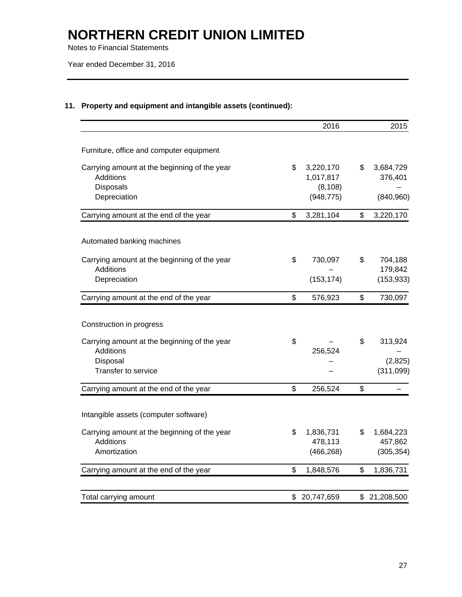Notes to Financial Statements

Year ended December 31, 2016

### **11. Property and equipment and intangible assets (continued):**

|                                                                                                      | 2016                                                   | 2015                                     |
|------------------------------------------------------------------------------------------------------|--------------------------------------------------------|------------------------------------------|
| Furniture, office and computer equipment                                                             |                                                        |                                          |
| Carrying amount at the beginning of the year<br><b>Additions</b><br><b>Disposals</b><br>Depreciation | \$<br>3,220,170<br>1,017,817<br>(8, 108)<br>(948, 775) | \$<br>3,684,729<br>376,401<br>(840, 960) |
| Carrying amount at the end of the year                                                               | \$<br>3,281,104                                        | \$<br>3,220,170                          |
| Automated banking machines                                                                           |                                                        |                                          |
| Carrying amount at the beginning of the year                                                         | \$<br>730,097                                          | \$<br>704,188                            |
| <b>Additions</b><br>Depreciation                                                                     | (153, 174)                                             | 179,842<br>(153, 933)                    |
| Carrying amount at the end of the year                                                               | \$<br>576,923                                          | \$<br>730,097                            |
| Construction in progress                                                                             |                                                        |                                          |
| Carrying amount at the beginning of the year<br>Additions<br>Disposal<br>Transfer to service         | \$<br>256,524                                          | \$<br>313,924<br>(2,825)<br>(311,099)    |
| Carrying amount at the end of the year                                                               | \$<br>256,524                                          | \$                                       |
| Intangible assets (computer software)                                                                |                                                        |                                          |
| Carrying amount at the beginning of the year<br><b>Additions</b><br>Amortization                     | \$<br>1,836,731<br>478,113<br>(466, 268)               | \$<br>1,684,223<br>457,862<br>(305, 354) |
| Carrying amount at the end of the year                                                               | \$<br>1,848,576                                        | \$<br>1,836,731                          |
|                                                                                                      |                                                        |                                          |
| Total carrying amount                                                                                | \$ 20,747,659                                          | \$21,208,500                             |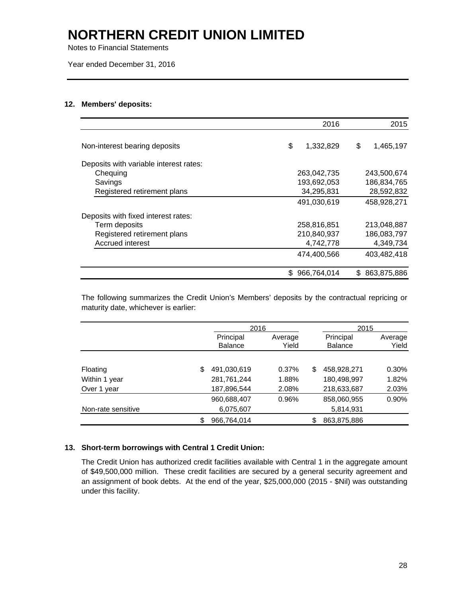Notes to Financial Statements

Year ended December 31, 2016

#### **12. Members' deposits:**

|                                        | 2016            |     | 2015        |
|----------------------------------------|-----------------|-----|-------------|
| Non-interest bearing deposits          | \$<br>1,332,829 | \$  | 1,465,197   |
| Deposits with variable interest rates: |                 |     |             |
| Chequing                               | 263,042,735     |     | 243,500,674 |
| Savings                                | 193,692,053     |     | 186,834,765 |
| Registered retirement plans            | 34,295,831      |     | 28,592,832  |
|                                        | 491,030,619     |     | 458,928,271 |
| Deposits with fixed interest rates:    |                 |     |             |
| Term deposits                          | 258,816,851     |     | 213,048,887 |
| Registered retirement plans            | 210,840,937     |     | 186,083,797 |
| Accrued interest                       | 4,742,778       |     | 4,349,734   |
|                                        | 474,400,566     |     | 403,482,418 |
|                                        | 966,764,014     | \$. | 863,875,886 |

The following summarizes the Credit Union's Members' deposits by the contractual repricing or maturity date, whichever is earlier:

|                    | 2016              |         | 2015              |          |
|--------------------|-------------------|---------|-------------------|----------|
|                    | Principal         | Average | Principal         | Average  |
|                    | <b>Balance</b>    | Yield   | <b>Balance</b>    | Yield    |
|                    |                   |         |                   |          |
| Floating           | \$<br>491.030.619 | 0.37%   | \$<br>458.928.271 | $0.30\%$ |
| Within 1 year      | 281,761,244       | 1.88%   | 180,498,997       | 1.82%    |
| Over 1 year        | 187,896,544       | 2.08%   | 218,633,687       | 2.03%    |
|                    | 960,688,407       | 0.96%   | 858,060,955       | $0.90\%$ |
| Non-rate sensitive | 6,075,607         |         | 5,814,931         |          |
|                    | 966,764,014       |         | 863,875,886       |          |

### **13. Short-term borrowings with Central 1 Credit Union:**

The Credit Union has authorized credit facilities available with Central 1 in the aggregate amount of \$49,500,000 million. These credit facilities are secured by a general security agreement and an assignment of book debts. At the end of the year, \$25,000,000 (2015 - \$Nil) was outstanding under this facility.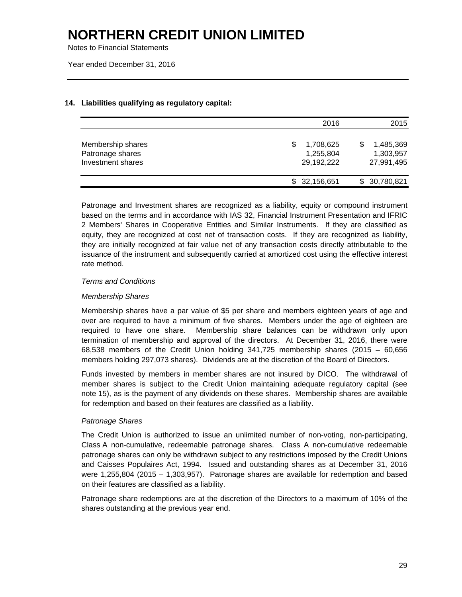Notes to Financial Statements

Year ended December 31, 2016

### **14. Liabilities qualifying as regulatory capital:**

|                                                            | 2016                                 | 2015                                       |
|------------------------------------------------------------|--------------------------------------|--------------------------------------------|
| Membership shares<br>Patronage shares<br>Investment shares | 1,708,625<br>1,255,804<br>29,192,222 | 1,485,369<br>\$<br>1,303,957<br>27,991,495 |
|                                                            | \$32,156,651                         | \$ 30,780,821                              |

Patronage and Investment shares are recognized as a liability, equity or compound instrument based on the terms and in accordance with IAS 32, Financial Instrument Presentation and IFRIC 2 Members' Shares in Cooperative Entities and Similar Instruments. If they are classified as equity, they are recognized at cost net of transaction costs. If they are recognized as liability, they are initially recognized at fair value net of any transaction costs directly attributable to the issuance of the instrument and subsequently carried at amortized cost using the effective interest rate method.

### *Terms and Conditions*

### *Membership Shares*

Membership shares have a par value of \$5 per share and members eighteen years of age and over are required to have a minimum of five shares. Members under the age of eighteen are required to have one share. Membership share balances can be withdrawn only upon termination of membership and approval of the directors. At December 31, 2016, there were 68,538 members of the Credit Union holding 341,725 membership shares (2015 – 60,656 members holding 297,073 shares). Dividends are at the discretion of the Board of Directors.

Funds invested by members in member shares are not insured by DICO. The withdrawal of member shares is subject to the Credit Union maintaining adequate regulatory capital (see note 15), as is the payment of any dividends on these shares. Membership shares are available for redemption and based on their features are classified as a liability.

#### *Patronage Shares*

The Credit Union is authorized to issue an unlimited number of non-voting, non-participating, Class A non-cumulative, redeemable patronage shares. Class A non-cumulative redeemable patronage shares can only be withdrawn subject to any restrictions imposed by the Credit Unions and Caisses Populaires Act, 1994. Issued and outstanding shares as at December 31, 2016 were 1,255,804 (2015 – 1,303,957). Patronage shares are available for redemption and based on their features are classified as a liability.

Patronage share redemptions are at the discretion of the Directors to a maximum of 10% of the shares outstanding at the previous year end.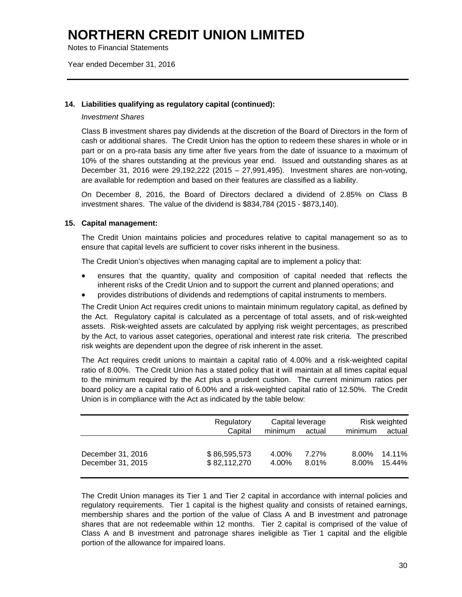Notes to Financial Statements

Year ended December 31, 2016

### **14. Liabilities qualifying as regulatory capital (continued):**

#### *Investment Shares*

Class B investment shares pay dividends at the discretion of the Board of Directors in the form of cash or additional shares. The Credit Union has the option to redeem these shares in whole or in part or on a pro-rata basis any time after five years from the date of issuance to a maximum of 10% of the shares outstanding at the previous year end. Issued and outstanding shares as at December 31, 2016 were 29,192,222 (2015 – 27,991,495). Investment shares are non-voting, are available for redemption and based on their features are classified as a liability.

On December 8, 2016, the Board of Directors declared a dividend of 2.85% on Class B investment shares. The value of the dividend is \$834,784 (2015 - \$873,140).

#### **15. Capital management:**

The Credit Union maintains policies and procedures relative to capital management so as to ensure that capital levels are sufficient to cover risks inherent in the business.

The Credit Union's objectives when managing capital are to implement a policy that:

- ensures that the quantity, quality and composition of capital needed that reflects the inherent risks of the Credit Union and to support the current and planned operations; and
- provides distributions of dividends and redemptions of capital instruments to members.

The Credit Union Act requires credit unions to maintain minimum regulatory capital, as defined by the Act. Regulatory capital is calculated as a percentage of total assets, and of risk-weighted assets. Risk-weighted assets are calculated by applying risk weight percentages, as prescribed by the Act, to various asset categories, operational and interest rate risk criteria. The prescribed risk weights are dependent upon the degree of risk inherent in the asset.

The Act requires credit unions to maintain a capital ratio of 4.00% and a risk-weighted capital ratio of 8.00%. The Credit Union has a stated policy that it will maintain at all times capital equal to the minimum required by the Act plus a prudent cushion. The current minimum ratios per board policy are a capital ratio of 6.00% and a risk-weighted capital ratio of 12.50%. The Credit Union is in compliance with the Act as indicated by the table below:

|                                        | Regulatory<br>Capital        | Capital leverage<br>minimum<br>actual |                | minimum        | Risk weighted<br>actual |
|----------------------------------------|------------------------------|---------------------------------------|----------------|----------------|-------------------------|
|                                        |                              |                                       |                |                |                         |
| December 31, 2016<br>December 31, 2015 | \$86,595,573<br>\$82,112,270 | 4.00%<br>4.00%                        | 7.27%<br>8.01% | 8.00%<br>8.00% | 14.11%<br>15.44%        |

The Credit Union manages its Tier 1 and Tier 2 capital in accordance with internal policies and regulatory requirements. Tier 1 capital is the highest quality and consists of retained earnings, membership shares and the portion of the value of Class A and B investment and patronage shares that are not redeemable within 12 months. Tier 2 capital is comprised of the value of Class A and B investment and patronage shares ineligible as Tier 1 capital and the eligible portion of the allowance for impaired loans.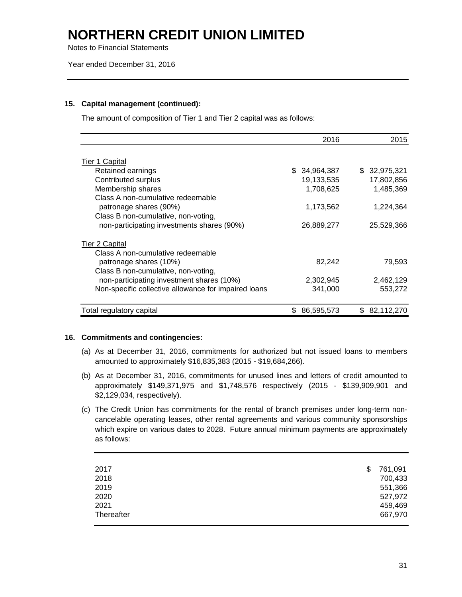Notes to Financial Statements

Year ended December 31, 2016

### **15. Capital management (continued):**

The amount of composition of Tier 1 and Tier 2 capital was as follows:

|                                                      |    | 2016          | 2015             |
|------------------------------------------------------|----|---------------|------------------|
| <b>Tier 1 Capital</b>                                |    |               |                  |
| Retained earnings                                    |    | \$ 34,964,387 | \$ 32,975,321    |
| Contributed surplus                                  |    | 19,133,535    | 17,802,856       |
| Membership shares                                    |    | 1,708,625     | 1,485,369        |
| Class A non-cumulative redeemable                    |    |               |                  |
| patronage shares (90%)                               |    | 1,173,562     | 1,224,364        |
| Class B non-cumulative, non-voting,                  |    |               |                  |
| non-participating investments shares (90%)           |    | 26,889,277    | 25,529,366       |
| <b>Tier 2 Capital</b>                                |    |               |                  |
| Class A non-cumulative redeemable                    |    |               |                  |
| patronage shares (10%)                               |    | 82,242        | 79,593           |
| Class B non-cumulative, non-voting,                  |    |               |                  |
| non-participating investment shares (10%)            |    | 2,302,945     | 2,462,129        |
| Non-specific collective allowance for impaired loans |    | 341,000       | 553,272          |
| Total regulatory capital                             | S. | 86,595,573    | \$<br>82,112,270 |

#### **16. Commitments and contingencies:**

- (a) As at December 31, 2016, commitments for authorized but not issued loans to members amounted to approximately \$16,835,383 (2015 - \$19,684,266).
- (b) As at December 31, 2016, commitments for unused lines and letters of credit amounted to approximately \$149,371,975 and \$1,748,576 respectively (2015 - \$139,909,901 and \$2,129,034, respectively).
- (c) The Credit Union has commitments for the rental of branch premises under long-term noncancelable operating leases, other rental agreements and various community sponsorships which expire on various dates to 2028. Future annual minimum payments are approximately as follows:

| 2017              | S | 761,091 |
|-------------------|---|---------|
| 2018              |   | 700,433 |
| 2019              |   | 551,366 |
| 2020              |   | 527,972 |
| 2021              |   | 459,469 |
| <b>Thereafter</b> |   | 667,970 |
|                   |   |         |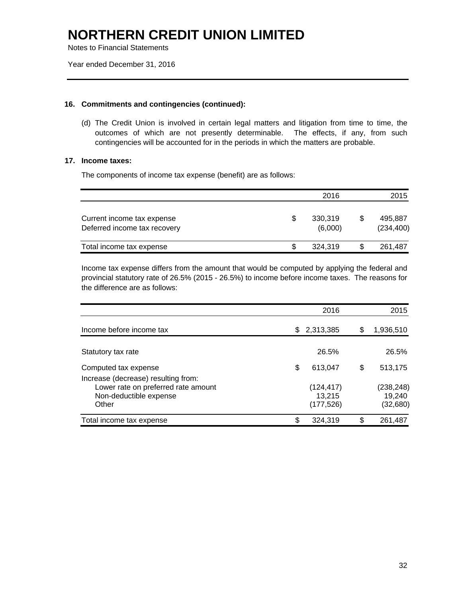Notes to Financial Statements

Year ended December 31, 2016

### **16. Commitments and contingencies (continued):**

(d) The Credit Union is involved in certain legal matters and litigation from time to time, the outcomes of which are not presently determinable. The effects, if any, from such contingencies will be accounted for in the periods in which the matters are probable.

### **17. Income taxes:**

The components of income tax expense (benefit) are as follows:

|                                                            | 2016                     | 2015                  |
|------------------------------------------------------------|--------------------------|-----------------------|
| Current income tax expense<br>Deferred income tax recovery | \$<br>330,319<br>(6,000) | 495,887<br>(234, 400) |
| Total income tax expense                                   | \$<br>324.319            | \$<br>261,487         |

Income tax expense differs from the amount that would be computed by applying the federal and provincial statutory rate of 26.5% (2015 - 26.5%) to income before income taxes. The reasons for the difference are as follows:

|                                                                                                               | 2016                               | 2015                              |
|---------------------------------------------------------------------------------------------------------------|------------------------------------|-----------------------------------|
| Income before income tax                                                                                      | \$<br>2,313,385                    | \$<br>1,936,510                   |
| Statutory tax rate                                                                                            | 26.5%                              | 26.5%                             |
| Computed tax expense                                                                                          | \$<br>613.047                      | \$<br>513,175                     |
| Increase (decrease) resulting from:<br>Lower rate on preferred rate amount<br>Non-deductible expense<br>Other | (124, 417)<br>13.215<br>(177, 526) | (238, 248)<br>19,240<br>(32, 680) |
| Total income tax expense                                                                                      | 324.319                            | \$<br>261,487                     |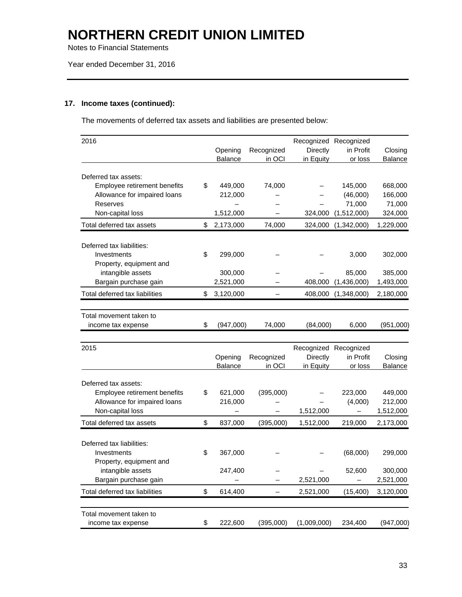Notes to Financial Statements

Year ended December 31, 2016

### **17. Income taxes (continued):**

The movements of deferred tax assets and liabilities are presented below:

| 2016                           |                 |            | Recognized Recognized |             |                |
|--------------------------------|-----------------|------------|-----------------------|-------------|----------------|
|                                | Opening         | Recognized | Directly              | in Profit   | Closing        |
|                                | <b>Balance</b>  | in OCI     | in Equity             | or loss     | <b>Balance</b> |
|                                |                 |            |                       |             |                |
| Deferred tax assets:           |                 |            |                       |             |                |
| Employee retirement benefits   | \$<br>449,000   | 74,000     |                       | 145,000     | 668,000        |
| Allowance for impaired loans   | 212,000         |            |                       | (46,000)    | 166,000        |
| <b>Reserves</b>                |                 |            |                       | 71,000      | 71,000         |
| Non-capital loss               | 1,512,000       |            | 324,000               | (1,512,000) | 324,000        |
| Total deferred tax assets      | \$<br>2,173,000 | 74,000     | 324,000               | (1,342,000) | 1,229,000      |
| Deferred tax liabilities:      |                 |            |                       |             |                |
| Investments                    | \$<br>299,000   |            |                       | 3,000       | 302,000        |
| Property, equipment and        |                 |            |                       |             |                |
| intangible assets              | 300,000         |            |                       | 85,000      | 385,000        |
| Bargain purchase gain          | 2,521,000       |            | 408,000               | (1,436,000) | 1,493,000      |
| Total deferred tax liabilities | \$<br>3,120,000 |            | 408,000               | (1,348,000) | 2,180,000      |
|                                |                 |            |                       |             |                |
| Total movement taken to        |                 |            |                       |             |                |
| income tax expense             | \$<br>(947,000) | 74,000     | (84,000)              | 6,000       | (951,000)      |
|                                |                 |            |                       |             |                |
| 2015                           |                 |            | Recognized Recognized |             |                |
|                                | Opening         | Recognized | Directly              | in Profit   | Closing        |
|                                | <b>Balance</b>  | in OCI     | in Equity             | or loss     | Balance        |
|                                |                 |            |                       |             |                |
| Deferred tax assets:           |                 |            |                       |             |                |
| Employee retirement benefits   | \$<br>621,000   | (395,000)  |                       | 223,000     | 449,000        |
| Allowance for impaired loans   | 216,000         |            |                       | (4,000)     | 212,000        |
| Non-capital loss               |                 |            |                       |             |                |
|                                |                 |            | 1,512,000             |             | 1,512,000      |
| Total deferred tax assets      | \$<br>837,000   | (395,000)  | 1,512,000             | 219,000     | 2,173,000      |
|                                |                 |            |                       |             |                |
| Deferred tax liabilities:      |                 |            |                       |             |                |
| Investments                    | \$<br>367,000   |            |                       | (68,000)    | 299,000        |
| Property, equipment and        |                 |            |                       |             |                |
| intangible assets              | 247,400         |            |                       | 52,600      | 300,000        |
| Bargain purchase gain          |                 |            | 2,521,000             |             | 2,521,000      |
| Total deferred tax liabilities | \$<br>614,400   |            | 2,521,000             | (15, 400)   | 3,120,000      |
|                                |                 |            |                       |             |                |
| Total movement taken to        | \$<br>222,600   | (395,000)  | (1,009,000)           | 234,400     | (947,000)      |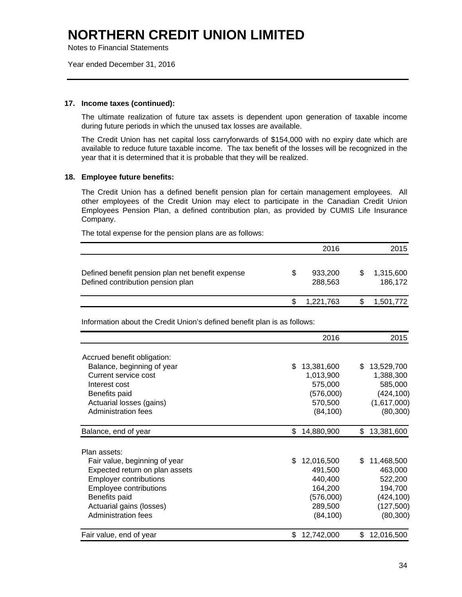Notes to Financial Statements

Year ended December 31, 2016

### **17. Income taxes (continued):**

The ultimate realization of future tax assets is dependent upon generation of taxable income during future periods in which the unused tax losses are available.

The Credit Union has net capital loss carryforwards of \$154,000 with no expiry date which are available to reduce future taxable income. The tax benefit of the losses will be recognized in the year that it is determined that it is probable that they will be realized.

### **18. Employee future benefits:**

The Credit Union has a defined benefit pension plan for certain management employees. All other employees of the Credit Union may elect to participate in the Canadian Credit Union Employees Pension Plan, a defined contribution plan, as provided by CUMIS Life Insurance Company.

The total expense for the pension plans are as follows:

|                                                                                       |     | 2016               | 2015                 |
|---------------------------------------------------------------------------------------|-----|--------------------|----------------------|
| Defined benefit pension plan net benefit expense<br>Defined contribution pension plan | \$. | 933,200<br>288.563 | 1,315,600<br>186.172 |
|                                                                                       |     | 1,221,763          | 1,501,772            |

Information about the Credit Union's defined benefit plan is as follows:

|                                |     | 2016       | 2015             |
|--------------------------------|-----|------------|------------------|
| Accrued benefit obligation:    |     |            |                  |
| Balance, beginning of year     | \$  | 13,381,600 | \$<br>13,529,700 |
| Current service cost           |     | 1,013,900  | 1,388,300        |
| Interest cost                  |     | 575,000    | 585,000          |
| Benefits paid                  |     | (576,000)  | (424, 100)       |
| Actuarial losses (gains)       |     | 570,500    | (1,617,000)      |
| <b>Administration fees</b>     |     |            |                  |
|                                |     | (84, 100)  | (80, 300)        |
| Balance, end of year           | \$. | 14,880,900 | \$<br>13,381,600 |
|                                |     |            |                  |
| Plan assets:                   |     |            |                  |
| Fair value, beginning of year  | \$  | 12,016,500 | \$<br>11,468,500 |
| Expected return on plan assets |     | 491,500    | 463,000          |
| Employer contributions         |     | 440,400    | 522,200          |
| Employee contributions         |     | 164,200    | 194,700          |
| Benefits paid                  |     | (576,000)  | (424, 100)       |
| Actuarial gains (losses)       |     | 289,500    | (127,500)        |
| <b>Administration fees</b>     |     | (84, 100)  | (80, 300)        |
| Fair value, end of year        | \$  | 12,742,000 | \$<br>12,016,500 |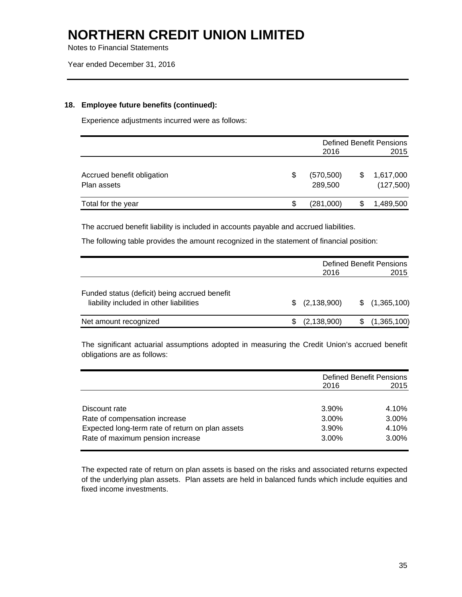Notes to Financial Statements

Year ended December 31, 2016

### **18. Employee future benefits (continued):**

Experience adjustments incurred were as follows:

|                                           | 2016                        | <b>Defined Benefit Pensions</b><br>2015 |                        |
|-------------------------------------------|-----------------------------|-----------------------------------------|------------------------|
| Accrued benefit obligation<br>Plan assets | \$<br>(570, 500)<br>289,500 | \$                                      | 1,617,000<br>(127,500) |
| Total for the year                        | \$<br>(281,000)             |                                         | 1,489,500              |

The accrued benefit liability is included in accounts payable and accrued liabilities.

The following table provides the amount recognized in the statement of financial position:

|                                                                                          |     | Defined Benefit Pensions<br>2016 |  |                       |  |  |
|------------------------------------------------------------------------------------------|-----|----------------------------------|--|-----------------------|--|--|
| Funded status (deficit) being accrued benefit<br>liability included in other liabilities | S.  | (2, 138, 900)                    |  | 2015<br>\$(1,365,100) |  |  |
| Net amount recognized                                                                    | SS. | (2, 138, 900)                    |  | (1,365,100)           |  |  |

The significant actuarial assumptions adopted in measuring the Credit Union's accrued benefit obligations are as follows:

|                                                  |          | <b>Defined Benefit Pensions</b> |  |
|--------------------------------------------------|----------|---------------------------------|--|
|                                                  | 2016     | 2015                            |  |
|                                                  |          |                                 |  |
| Discount rate                                    | 3.90%    | 4.10%                           |  |
| Rate of compensation increase                    | $3.00\%$ | 3.00%                           |  |
| Expected long-term rate of return on plan assets | 3.90%    | 4.10%                           |  |
| Rate of maximum pension increase                 | 3.00%    | 3.00%                           |  |

The expected rate of return on plan assets is based on the risks and associated returns expected of the underlying plan assets. Plan assets are held in balanced funds which include equities and fixed income investments.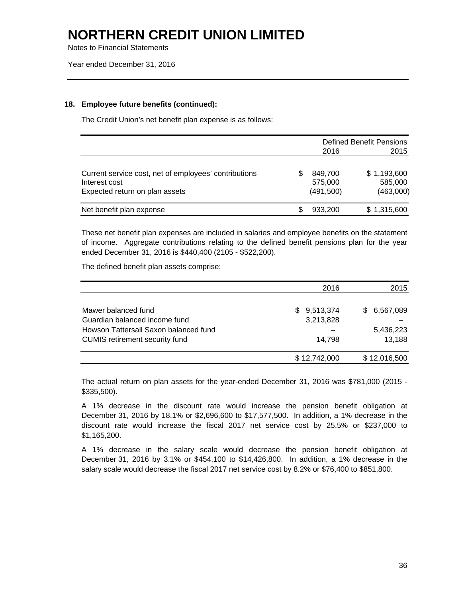Notes to Financial Statements

Year ended December 31, 2016

#### **18. Employee future benefits (continued):**

The Credit Union's net benefit plan expense is as follows:

|                                                                                                          |   | 2016                             | Defined Benefit Pensions<br>2015    |
|----------------------------------------------------------------------------------------------------------|---|----------------------------------|-------------------------------------|
| Current service cost, net of employees' contributions<br>Interest cost<br>Expected return on plan assets | S | 849.700<br>575,000<br>(491, 500) | \$1,193,600<br>585,000<br>(463,000) |
| Net benefit plan expense                                                                                 |   | 933.200                          | \$1,315,600                         |

These net benefit plan expenses are included in salaries and employee benefits on the statement of income. Aggregate contributions relating to the defined benefit pensions plan for the year ended December 31, 2016 is \$440,400 (2105 - \$522,200).

The defined benefit plan assets comprise:

|                                       | 2016         | 2015            |
|---------------------------------------|--------------|-----------------|
|                                       |              |                 |
| Mawer balanced fund                   | \$9,513,374  | 6,567,089<br>S. |
| Guardian balanced income fund         | 3,213,828    |                 |
| Howson Tattersall Saxon balanced fund |              | 5,436,223       |
| <b>CUMIS</b> retirement security fund | 14.798       | 13,188          |
|                                       | \$12,742,000 | \$12,016,500    |

The actual return on plan assets for the year-ended December 31, 2016 was \$781,000 (2015 - \$335,500).

A 1% decrease in the discount rate would increase the pension benefit obligation at December 31, 2016 by 18.1% or \$2,696,600 to \$17,577,500. In addition, a 1% decrease in the discount rate would increase the fiscal 2017 net service cost by 25.5% or \$237,000 to \$1,165,200.

A 1% decrease in the salary scale would decrease the pension benefit obligation at December 31, 2016 by 3.1% or \$454,100 to \$14,426,800. In addition, a 1% decrease in the salary scale would decrease the fiscal 2017 net service cost by 8.2% or \$76,400 to \$851,800.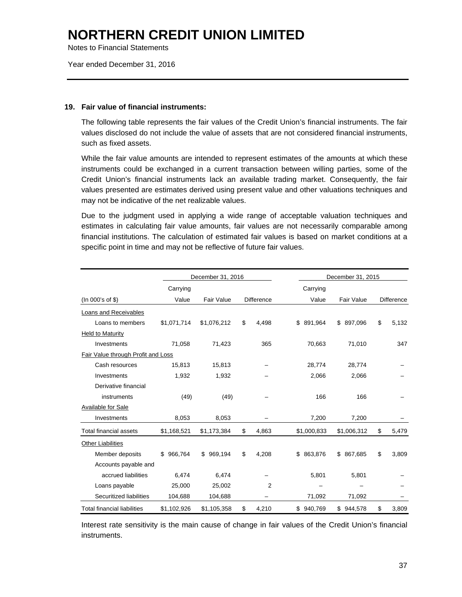Notes to Financial Statements

Year ended December 31, 2016

#### **19. Fair value of financial instruments:**

The following table represents the fair values of the Credit Union's financial instruments. The fair values disclosed do not include the value of assets that are not considered financial instruments, such as fixed assets.

While the fair value amounts are intended to represent estimates of the amounts at which these instruments could be exchanged in a current transaction between willing parties, some of the Credit Union's financial instruments lack an available trading market. Consequently, the fair values presented are estimates derived using present value and other valuations techniques and may not be indicative of the net realizable values.

Due to the judgment used in applying a wide range of acceptable valuation techniques and estimates in calculating fair value amounts, fair values are not necessarily comparable among financial institutions. The calculation of estimated fair values is based on market conditions at a specific point in time and may not be reflective of future fair values.

|                                    |                | December 31, 2016 |    |                   |    | December 31, 2015 |                   |  |    |                   |
|------------------------------------|----------------|-------------------|----|-------------------|----|-------------------|-------------------|--|----|-------------------|
|                                    | Carrying       |                   |    |                   |    | Carrying          |                   |  |    |                   |
| (In 000's 0f \$)                   | Value          | <b>Fair Value</b> |    | <b>Difference</b> |    | Value             | <b>Fair Value</b> |  |    | <b>Difference</b> |
| Loans and Receivables              |                |                   |    |                   |    |                   |                   |  |    |                   |
| Loans to members                   | \$1,071,714    | \$1,076,212       | \$ | 4,498             | \$ | 891,964           | \$ 897,096        |  | \$ | 5,132             |
| <b>Held to Maturity</b>            |                |                   |    |                   |    |                   |                   |  |    |                   |
| Investments                        | 71,058         | 71,423            |    | 365               |    | 70,663            | 71,010            |  |    | 347               |
| Fair Value through Profit and Loss |                |                   |    |                   |    |                   |                   |  |    |                   |
| Cash resources                     | 15,813         | 15,813            |    |                   |    | 28,774            | 28,774            |  |    |                   |
| Investments                        | 1,932          | 1,932             |    |                   |    | 2,066             | 2,066             |  |    |                   |
| Derivative financial               |                |                   |    |                   |    |                   |                   |  |    |                   |
| instruments                        | (49)           | (49)              |    |                   |    | 166               | 166               |  |    |                   |
| Available for Sale                 |                |                   |    |                   |    |                   |                   |  |    |                   |
| Investments                        | 8,053          | 8,053             |    |                   |    | 7,200             | 7,200             |  |    |                   |
| <b>Total financial assets</b>      | \$1,168,521    | \$1,173,384       | \$ | 4,863             |    | \$1,000,833       | \$1,006,312       |  | \$ | 5,479             |
| <b>Other Liabilities</b>           |                |                   |    |                   |    |                   |                   |  |    |                   |
| Member deposits                    | 966,764<br>\$. | 969,194<br>\$     | \$ | 4,208             | \$ | 863,876           | \$<br>867,685     |  | \$ | 3,809             |
| Accounts payable and               |                |                   |    |                   |    |                   |                   |  |    |                   |
| accrued liabilities                | 6,474          | 6,474             |    |                   |    | 5,801             | 5,801             |  |    |                   |
| Loans payable                      | 25,000         | 25,002            |    | 2                 |    |                   |                   |  |    |                   |
| Securitized liabilities            | 104,688        | 104,688           |    |                   |    | 71,092            | 71,092            |  |    |                   |
| <b>Total financial liabilities</b> | \$1,102,926    | \$1,105,358       | \$ | 4,210             | \$ | 940,769           | \$<br>944,578     |  | \$ | 3,809             |

Interest rate sensitivity is the main cause of change in fair values of the Credit Union's financial instruments.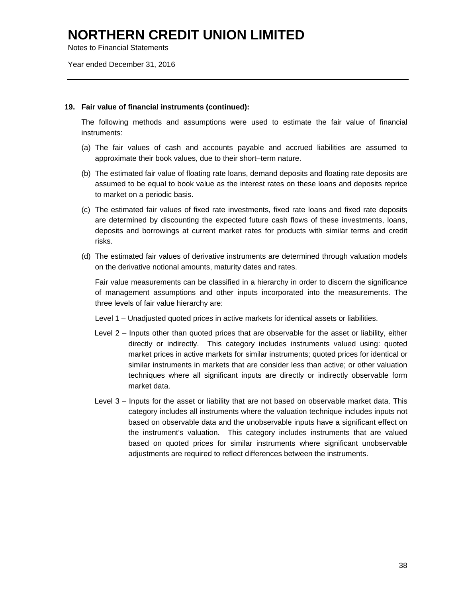Notes to Financial Statements

Year ended December 31, 2016

#### **19. Fair value of financial instruments (continued):**

The following methods and assumptions were used to estimate the fair value of financial instruments:

- (a) The fair values of cash and accounts payable and accrued liabilities are assumed to approximate their book values, due to their short–term nature.
- (b) The estimated fair value of floating rate loans, demand deposits and floating rate deposits are assumed to be equal to book value as the interest rates on these loans and deposits reprice to market on a periodic basis.
- (c) The estimated fair values of fixed rate investments, fixed rate loans and fixed rate deposits are determined by discounting the expected future cash flows of these investments, loans, deposits and borrowings at current market rates for products with similar terms and credit risks.
- (d) The estimated fair values of derivative instruments are determined through valuation models on the derivative notional amounts, maturity dates and rates.

Fair value measurements can be classified in a hierarchy in order to discern the significance of management assumptions and other inputs incorporated into the measurements. The three levels of fair value hierarchy are:

- Level 1 Unadjusted quoted prices in active markets for identical assets or liabilities.
- Level 2 Inputs other than quoted prices that are observable for the asset or liability, either directly or indirectly. This category includes instruments valued using: quoted market prices in active markets for similar instruments; quoted prices for identical or similar instruments in markets that are consider less than active; or other valuation techniques where all significant inputs are directly or indirectly observable form market data.
- Level 3 Inputs for the asset or liability that are not based on observable market data. This category includes all instruments where the valuation technique includes inputs not based on observable data and the unobservable inputs have a significant effect on the instrument's valuation. This category includes instruments that are valued based on quoted prices for similar instruments where significant unobservable adjustments are required to reflect differences between the instruments.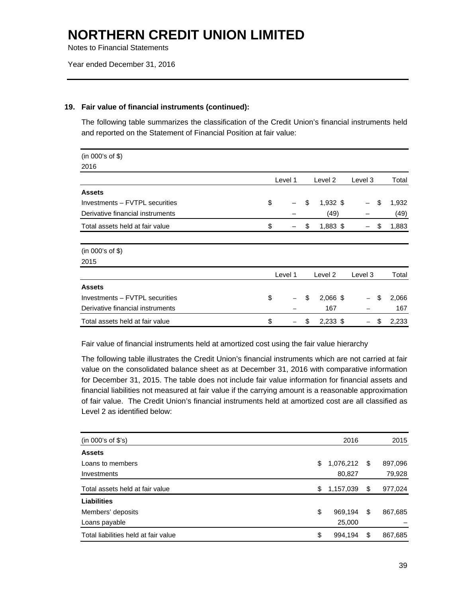Notes to Financial Statements

Year ended December 31, 2016

### **19. Fair value of financial instruments (continued):**

The following table summarizes the classification of the Credit Union's financial instruments held and reported on the Statement of Financial Position at fair value:

| (in 000's of $$$ )               |         |                  |         |       |
|----------------------------------|---------|------------------|---------|-------|
| 2016                             |         |                  |         |       |
|                                  | Level 1 | Level 2          | Level 3 | Total |
| <b>Assets</b>                    |         |                  |         |       |
| Investments - FVTPL securities   | \$      | \$<br>$1,932$ \$ | \$      | 1,932 |
| Derivative financial instruments |         | (49)             |         | (49)  |
| Total assets held at fair value  | \$      | \$<br>$1,883$ \$ | \$      | 1,883 |
| (in 000's of $$$ )               |         |                  |         |       |
| 2015                             |         |                  |         |       |
|                                  | Level 1 | Level 2          | Level 3 | Total |
| <b>Assets</b>                    |         |                  |         |       |
| Investments - FVTPL securities   | \$      | \$<br>2,066 \$   | \$<br>- | 2,066 |
| Derivative financial instruments |         | 167              |         | 167   |
| Total assets held at fair value  | \$<br>- | \$<br>$2,233$ \$ | \$<br>- | 2,233 |

Fair value of financial instruments held at amortized cost using the fair value hierarchy

The following table illustrates the Credit Union's financial instruments which are not carried at fair value on the consolidated balance sheet as at December 31, 2016 with comparative information for December 31, 2015. The table does not include fair value information for financial assets and financial liabilities not measured at fair value if the carrying amount is a reasonable approximation of fair value. The Credit Union's financial instruments held at amortized cost are all classified as Level 2 as identified below:

| (in 000's of $$$ 's)                 | 2016            |     | 2015    |
|--------------------------------------|-----------------|-----|---------|
| <b>Assets</b>                        |                 |     |         |
| Loans to members                     | \$<br>1,076,212 | S   | 897,096 |
| Investments                          | 80,827          |     | 79,928  |
| Total assets held at fair value      | \$<br>1,157,039 | \$  | 977,024 |
| Liabilities                          |                 |     |         |
| Members' deposits                    | \$<br>969,194   | \$  | 867,685 |
| Loans payable                        | 25,000          |     |         |
| Total liabilities held at fair value | \$<br>994,194   | \$. | 867,685 |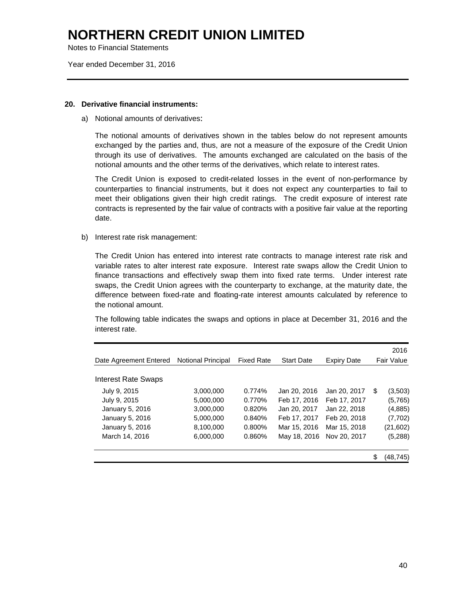Notes to Financial Statements

Year ended December 31, 2016

### **20. Derivative financial instruments:**

a) Notional amounts of derivatives:

The notional amounts of derivatives shown in the tables below do not represent amounts exchanged by the parties and, thus, are not a measure of the exposure of the Credit Union through its use of derivatives. The amounts exchanged are calculated on the basis of the notional amounts and the other terms of the derivatives, which relate to interest rates.

The Credit Union is exposed to credit-related losses in the event of non-performance by counterparties to financial instruments, but it does not expect any counterparties to fail to meet their obligations given their high credit ratings. The credit exposure of interest rate contracts is represented by the fair value of contracts with a positive fair value at the reporting date.

b) Interest rate risk management:

The Credit Union has entered into interest rate contracts to manage interest rate risk and variable rates to alter interest rate exposure. Interest rate swaps allow the Credit Union to finance transactions and effectively swap them into fixed rate terms. Under interest rate swaps, the Credit Union agrees with the counterparty to exchange, at the maturity date, the difference between fixed-rate and floating-rate interest amounts calculated by reference to the notional amount.

The following table indicates the swaps and options in place at December 31, 2016 and the interest rate.

|                        |                           |                   |                   |                    |    | 2016              |
|------------------------|---------------------------|-------------------|-------------------|--------------------|----|-------------------|
| Date Agreement Entered | <b>Notional Principal</b> | <b>Fixed Rate</b> | <b>Start Date</b> | <b>Expiry Date</b> |    | <b>Fair Value</b> |
|                        |                           |                   |                   |                    |    |                   |
| Interest Rate Swaps    |                           |                   |                   |                    |    |                   |
| July 9, 2015           | 3,000,000                 | 0.774%            | Jan 20, 2016      | Jan 20, 2017       | S  | (3,503)           |
| July 9, 2015           | 5,000,000                 | 0.770%            | Feb 17, 2016      | Feb 17, 2017       |    | (5,765)           |
| January 5, 2016        | 3,000,000                 | 0.820%            | Jan 20, 2017      | Jan 22, 2018       |    | (4,885)           |
| January 5, 2016        | 5.000.000                 | 0.840%            | Feb 17, 2017      | Feb 20, 2018       |    | (7, 702)          |
| January 5, 2016        | 8,100,000                 | 0.800%            | Mar 15, 2016      | Mar 15, 2018       |    | (21, 602)         |
| March 14, 2016         | 6,000,000                 | 0.860%            | May 18, 2016      | Nov 20, 2017       |    | (5,288)           |
|                        |                           |                   |                   |                    |    |                   |
|                        |                           |                   |                   |                    | \$ | (48,745)          |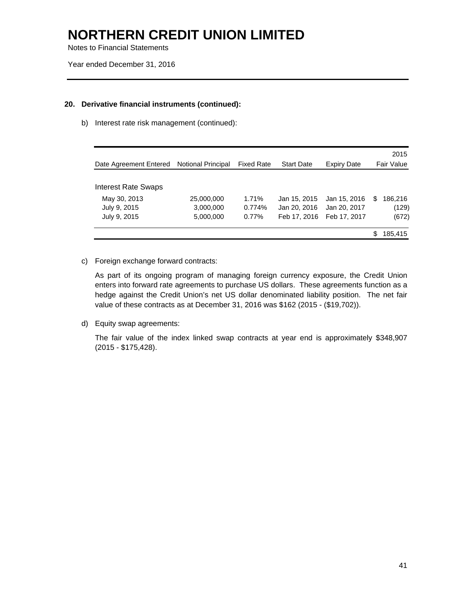Notes to Financial Statements

Year ended December 31, 2016

### **20. Derivative financial instruments (continued):**

b) Interest rate risk management (continued):

|                        |                           |                   |                   |                    |    | 2015              |
|------------------------|---------------------------|-------------------|-------------------|--------------------|----|-------------------|
| Date Agreement Entered | <b>Notional Principal</b> | <b>Fixed Rate</b> | <b>Start Date</b> | <b>Expiry Date</b> |    | <b>Fair Value</b> |
|                        |                           |                   |                   |                    |    |                   |
| Interest Rate Swaps    |                           |                   |                   |                    |    |                   |
| May 30, 2013           | 25,000,000                | 1.71%             | Jan 15, 2015      | Jan 15, 2016       | S  | 186,216           |
| July 9, 2015           | 3,000,000                 | 0.774%            | Jan 20, 2016      | Jan 20, 2017       |    | (129)             |
| July 9, 2015           | 5,000,000                 | 0.77%             | Feb 17, 2016      | Feb 17, 2017       |    | (672)             |
|                        |                           |                   |                   |                    | \$ | 185,415           |

### c) Foreign exchange forward contracts:

 As part of its ongoing program of managing foreign currency exposure, the Credit Union enters into forward rate agreements to purchase US dollars. These agreements function as a hedge against the Credit Union's net US dollar denominated liability position. The net fair value of these contracts as at December 31, 2016 was \$162 (2015 - (\$19,702)).

d) Equity swap agreements:

 The fair value of the index linked swap contracts at year end is approximately \$348,907 (2015 - \$175,428).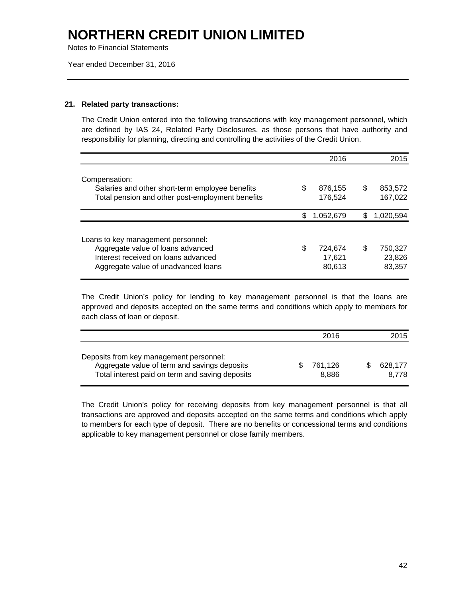Notes to Financial Statements

Year ended December 31, 2016

#### **21. Related party transactions:**

The Credit Union entered into the following transactions with key management personnel, which are defined by IAS 24, Related Party Disclosures, as those persons that have authority and responsibility for planning, directing and controlling the activities of the Credit Union.

|                                                                                                                                                       |   | 2016                        |     | 2015                        |
|-------------------------------------------------------------------------------------------------------------------------------------------------------|---|-----------------------------|-----|-----------------------------|
| Compensation:<br>Salaries and other short-term employee benefits<br>Total pension and other post-employment benefits                                  | S | 876,155<br>176.524          | \$  | 853,572<br>167,022          |
|                                                                                                                                                       | S | 1,052,679                   | \$. | 1,020,594                   |
| Loans to key management personnel:<br>Aggregate value of loans advanced<br>Interest received on loans advanced<br>Aggregate value of unadvanced loans | S | 724,674<br>17.621<br>80,613 | \$  | 750,327<br>23,826<br>83,357 |

The Credit Union's policy for lending to key management personnel is that the loans are approved and deposits accepted on the same terms and conditions which apply to members for each class of loan or deposit.

|                                                                                                                                            | 2016             | 2015             |
|--------------------------------------------------------------------------------------------------------------------------------------------|------------------|------------------|
| Deposits from key management personnel:<br>Aggregate value of term and savings deposits<br>Total interest paid on term and saving deposits | 761.126<br>8.886 | 628,177<br>8.778 |

The Credit Union's policy for receiving deposits from key management personnel is that all transactions are approved and deposits accepted on the same terms and conditions which apply to members for each type of deposit. There are no benefits or concessional terms and conditions applicable to key management personnel or close family members.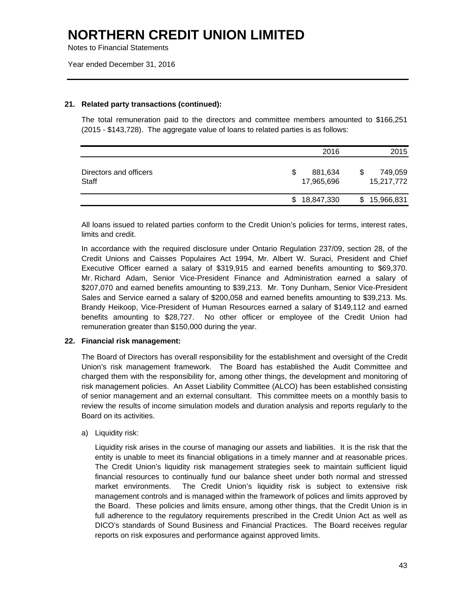Notes to Financial Statements

Year ended December 31, 2016

#### **21. Related party transactions (continued):**

The total remuneration paid to the directors and committee members amounted to \$166,251 (2015 - \$143,728). The aggregate value of loans to related parties is as follows:

|                                 |     | 2016                  | 2015                  |
|---------------------------------|-----|-----------------------|-----------------------|
| Directors and officers<br>Staff | S   | 881,634<br>17,965,696 | 749,059<br>15,217,772 |
|                                 | \$. | 18,847,330            | \$15,966,831          |

All loans issued to related parties conform to the Credit Union's policies for terms, interest rates, limits and credit.

 In accordance with the required disclosure under Ontario Regulation 237/09, section 28, of the Credit Unions and Caisses Populaires Act 1994, Mr. Albert W. Suraci, President and Chief Executive Officer earned a salary of \$319,915 and earned benefits amounting to \$69,370. Mr. Richard Adam, Senior Vice-President Finance and Administration earned a salary of \$207,070 and earned benefits amounting to \$39,213. Mr. Tony Dunham, Senior Vice-President Sales and Service earned a salary of \$200,058 and earned benefits amounting to \$39,213. Ms. Brandy Heikoop, Vice-President of Human Resources earned a salary of \$149,112 and earned benefits amounting to \$28,727. No other officer or employee of the Credit Union had remuneration greater than \$150,000 during the year.

#### **22. Financial risk management:**

The Board of Directors has overall responsibility for the establishment and oversight of the Credit Union's risk management framework. The Board has established the Audit Committee and charged them with the responsibility for, among other things, the development and monitoring of risk management policies. An Asset Liability Committee (ALCO) has been established consisting of senior management and an external consultant. This committee meets on a monthly basis to review the results of income simulation models and duration analysis and reports regularly to the Board on its activities.

a) Liquidity risk:

Liquidity risk arises in the course of managing our assets and liabilities. It is the risk that the entity is unable to meet its financial obligations in a timely manner and at reasonable prices. The Credit Union's liquidity risk management strategies seek to maintain sufficient liquid financial resources to continually fund our balance sheet under both normal and stressed market environments. The Credit Union's liquidity risk is subject to extensive risk management controls and is managed within the framework of polices and limits approved by the Board. These policies and limits ensure, among other things, that the Credit Union is in full adherence to the regulatory requirements prescribed in the Credit Union Act as well as DICO's standards of Sound Business and Financial Practices. The Board receives regular reports on risk exposures and performance against approved limits.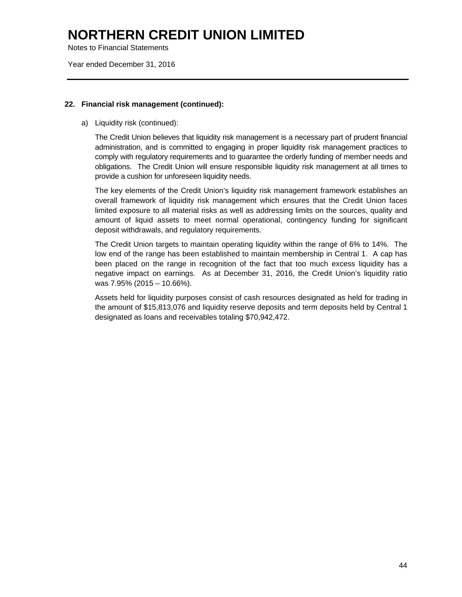Notes to Financial Statements

Year ended December 31, 2016

### **22. Financial risk management (continued):**

a) Liquidity risk (continued):

The Credit Union believes that liquidity risk management is a necessary part of prudent financial administration, and is committed to engaging in proper liquidity risk management practices to comply with regulatory requirements and to guarantee the orderly funding of member needs and obligations. The Credit Union will ensure responsible liquidity risk management at all times to provide a cushion for unforeseen liquidity needs.

The key elements of the Credit Union's liquidity risk management framework establishes an overall framework of liquidity risk management which ensures that the Credit Union faces limited exposure to all material risks as well as addressing limits on the sources, quality and amount of liquid assets to meet normal operational, contingency funding for significant deposit withdrawals, and regulatory requirements.

The Credit Union targets to maintain operating liquidity within the range of 6% to 14%. The low end of the range has been established to maintain membership in Central 1. A cap has been placed on the range in recognition of the fact that too much excess liquidity has a negative impact on earnings. As at December 31, 2016, the Credit Union's liquidity ratio was 7.95% (2015 – 10.66%).

Assets held for liquidity purposes consist of cash resources designated as held for trading in the amount of \$15,813,076 and liquidity reserve deposits and term deposits held by Central 1 designated as loans and receivables totaling \$70,942,472.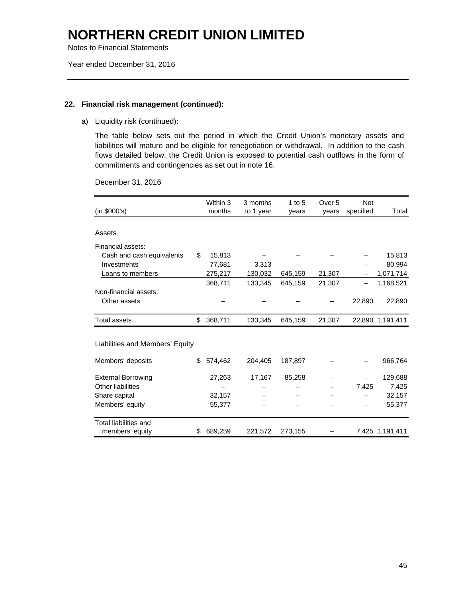Notes to Financial Statements

Year ended December 31, 2016

### **22. Financial risk management (continued):**

a) Liquidity risk (continued):

The table below sets out the period in which the Credit Union's monetary assets and liabilities will mature and be eligible for renegotiation or withdrawal. In addition to the cash flows detailed below, the Credit Union is exposed to potential cash outflows in the form of commitments and contingencies as set out in note 16.

December 31, 2016

| (in \$000's)                    |     | Within 3<br>months | 3 months<br>to 1 year | 1 to $5$<br>years | Over 5<br>years | <b>Not</b><br>specified | Total            |
|---------------------------------|-----|--------------------|-----------------------|-------------------|-----------------|-------------------------|------------------|
| Assets                          |     |                    |                       |                   |                 |                         |                  |
| Financial assets:               |     |                    |                       |                   |                 |                         |                  |
| Cash and cash equivalents       | \$  | 15,813             |                       |                   |                 |                         | 15,813           |
| Investments                     |     | 77,681             | 3,313                 |                   |                 |                         | 80,994           |
| Loans to members                |     | 275,217            | 130,032               | 645,159           | 21,307          |                         | 1,071,714        |
|                                 |     | 368,711            | 133,345               | 645,159           | 21,307          |                         | 1,168,521        |
| Non-financial assets:           |     |                    |                       |                   |                 |                         |                  |
| Other assets                    |     |                    |                       |                   |                 | 22,890                  | 22,890           |
| <b>Total assets</b>             | \$  | 368,711            | 133,345               | 645,159           | 21,307          |                         | 22,890 1,191,411 |
| Liabilities and Members' Equity |     |                    |                       |                   |                 |                         |                  |
| Members' deposits               | \$. | 574,462            | 204,405               | 187,897           |                 |                         | 966,764          |
| <b>External Borrowing</b>       |     | 27,263             | 17,167                | 85,258            |                 |                         | 129,688          |
| <b>Other liabilities</b>        |     |                    |                       |                   |                 | 7,425                   | 7,425            |
| Share capital                   |     | 32,157             |                       |                   |                 |                         | 32,157           |
| Members' equity                 |     | 55,377             |                       |                   |                 |                         | 55,377           |
| Total liabilities and           |     |                    |                       |                   |                 |                         |                  |
| members' equity                 | \$  | 689,259            | 221,572               | 273,155           |                 |                         | 7,425 1,191,411  |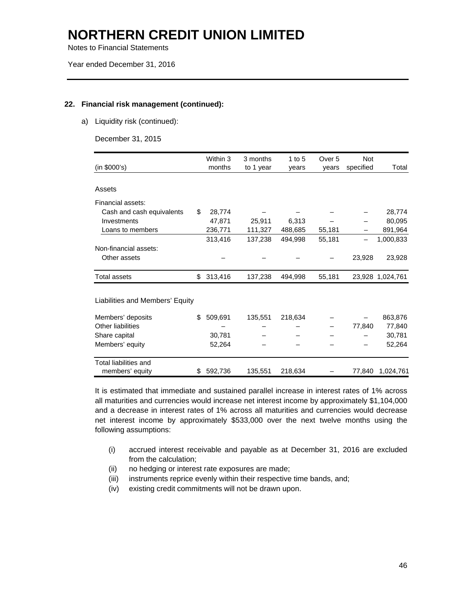Notes to Financial Statements

Year ended December 31, 2016

### **22. Financial risk management (continued):**

a) Liquidity risk (continued):

December 31, 2015

| (in \$000's)                    | Within 3<br>months | 3 months<br>to 1 year | 1 to $5$<br>years | Over <sub>5</sub><br>years | <b>Not</b><br>specified | Total            |
|---------------------------------|--------------------|-----------------------|-------------------|----------------------------|-------------------------|------------------|
|                                 |                    |                       |                   |                            |                         |                  |
| Assets                          |                    |                       |                   |                            |                         |                  |
| Financial assets:               |                    |                       |                   |                            |                         |                  |
| Cash and cash equivalents       | \$<br>28,774       |                       |                   |                            |                         | 28,774           |
| Investments                     | 47,871             | 25,911                | 6,313             |                            |                         | 80,095           |
| Loans to members                | 236,771            | 111,327               | 488,685           | 55,181                     | —                       | 891,964          |
|                                 | 313,416            | 137,238               | 494,998           | 55,181                     | —                       | 1,000,833        |
| Non-financial assets:           |                    |                       |                   |                            |                         |                  |
| Other assets                    |                    |                       |                   |                            | 23,928                  | 23,928           |
| <b>Total assets</b>             | \$<br>313,416      | 137,238               | 494,998           | 55,181                     |                         | 23,928 1,024,761 |
| Liabilities and Members' Equity |                    |                       |                   |                            |                         |                  |
| Members' deposits               | \$<br>509,691      | 135,551               | 218,634           |                            |                         | 863,876          |
| Other liabilities               |                    |                       |                   |                            | 77,840                  | 77,840           |
| Share capital                   | 30,781             |                       |                   |                            |                         | 30,781           |
| Members' equity                 | 52,264             |                       |                   |                            |                         | 52,264           |
| Total liabilities and           |                    |                       |                   |                            |                         |                  |
| members' equity                 | \$<br>592,736      | 135,551               | 218,634           |                            | 77,840                  | 1,024,761        |

It is estimated that immediate and sustained parallel increase in interest rates of 1% across all maturities and currencies would increase net interest income by approximately \$1,104,000 and a decrease in interest rates of 1% across all maturities and currencies would decrease net interest income by approximately \$533,000 over the next twelve months using the following assumptions:

- (i) accrued interest receivable and payable as at December 31, 2016 are excluded from the calculation;
- (ii) no hedging or interest rate exposures are made;
- (iii) instruments reprice evenly within their respective time bands, and;
- (iv) existing credit commitments will not be drawn upon.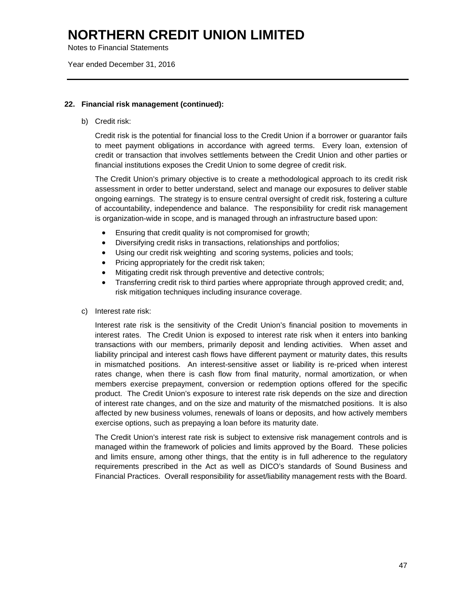Notes to Financial Statements

Year ended December 31, 2016

### **22. Financial risk management (continued):**

b) Credit risk:

Credit risk is the potential for financial loss to the Credit Union if a borrower or guarantor fails to meet payment obligations in accordance with agreed terms. Every loan, extension of credit or transaction that involves settlements between the Credit Union and other parties or financial institutions exposes the Credit Union to some degree of credit risk.

The Credit Union's primary objective is to create a methodological approach to its credit risk assessment in order to better understand, select and manage our exposures to deliver stable ongoing earnings. The strategy is to ensure central oversight of credit risk, fostering a culture of accountability, independence and balance. The responsibility for credit risk management is organization-wide in scope, and is managed through an infrastructure based upon:

- Ensuring that credit quality is not compromised for growth;
- Diversifying credit risks in transactions, relationships and portfolios;
- Using our credit risk weighting and scoring systems, policies and tools;
- Pricing appropriately for the credit risk taken;
- Mitigating credit risk through preventive and detective controls;
- Transferring credit risk to third parties where appropriate through approved credit; and, risk mitigation techniques including insurance coverage.
- c) Interest rate risk:

Interest rate risk is the sensitivity of the Credit Union's financial position to movements in interest rates. The Credit Union is exposed to interest rate risk when it enters into banking transactions with our members, primarily deposit and lending activities. When asset and liability principal and interest cash flows have different payment or maturity dates, this results in mismatched positions. An interest-sensitive asset or liability is re-priced when interest rates change, when there is cash flow from final maturity, normal amortization, or when members exercise prepayment, conversion or redemption options offered for the specific product. The Credit Union's exposure to interest rate risk depends on the size and direction of interest rate changes, and on the size and maturity of the mismatched positions. It is also affected by new business volumes, renewals of loans or deposits, and how actively members exercise options, such as prepaying a loan before its maturity date.

The Credit Union's interest rate risk is subject to extensive risk management controls and is managed within the framework of policies and limits approved by the Board. These policies and limits ensure, among other things, that the entity is in full adherence to the regulatory requirements prescribed in the Act as well as DICO's standards of Sound Business and Financial Practices. Overall responsibility for asset/liability management rests with the Board.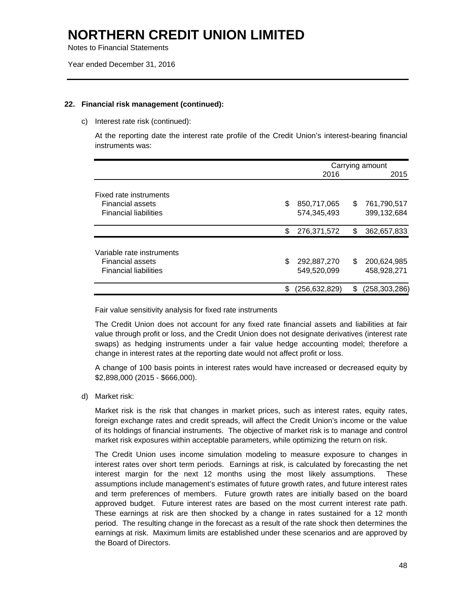Notes to Financial Statements

Year ended December 31, 2016

#### **22. Financial risk management (continued):**

#### c) Interest rate risk (continued):

At the reporting date the interest rate profile of the Credit Union's interest-bearing financial instruments was:

|                                                                                      | Carrying amount                  |    |                            |
|--------------------------------------------------------------------------------------|----------------------------------|----|----------------------------|
|                                                                                      | 2016                             |    | 2015                       |
| Fixed rate instruments<br><b>Financial assets</b><br><b>Financial liabilities</b>    | \$<br>850,717,065<br>574,345,493 | S  | 761,790,517<br>399,132,684 |
|                                                                                      | \$<br>276,371,572                | S  | 362,657,833                |
| Variable rate instruments<br><b>Financial assets</b><br><b>Financial liabilities</b> | \$<br>292,887,270<br>549,520,099 | \$ | 200,624,985<br>458,928,271 |
|                                                                                      | (256,632,829)                    |    | (258,303,286)              |

Fair value sensitivity analysis for fixed rate instruments

The Credit Union does not account for any fixed rate financial assets and liabilities at fair value through profit or loss, and the Credit Union does not designate derivatives (interest rate swaps) as hedging instruments under a fair value hedge accounting model; therefore a change in interest rates at the reporting date would not affect profit or loss.

A change of 100 basis points in interest rates would have increased or decreased equity by \$2,898,000 (2015 - \$666,000).

d) Market risk:

Market risk is the risk that changes in market prices, such as interest rates, equity rates, foreign exchange rates and credit spreads, will affect the Credit Union's income or the value of its holdings of financial instruments. The objective of market risk is to manage and control market risk exposures within acceptable parameters, while optimizing the return on risk.

The Credit Union uses income simulation modeling to measure exposure to changes in interest rates over short term periods. Earnings at risk, is calculated by forecasting the net interest margin for the next 12 months using the most likely assumptions. These assumptions include management's estimates of future growth rates, and future interest rates and term preferences of members. Future growth rates are initially based on the board approved budget. Future interest rates are based on the most current interest rate path. These earnings at risk are then shocked by a change in rates sustained for a 12 month period. The resulting change in the forecast as a result of the rate shock then determines the earnings at risk. Maximum limits are established under these scenarios and are approved by the Board of Directors.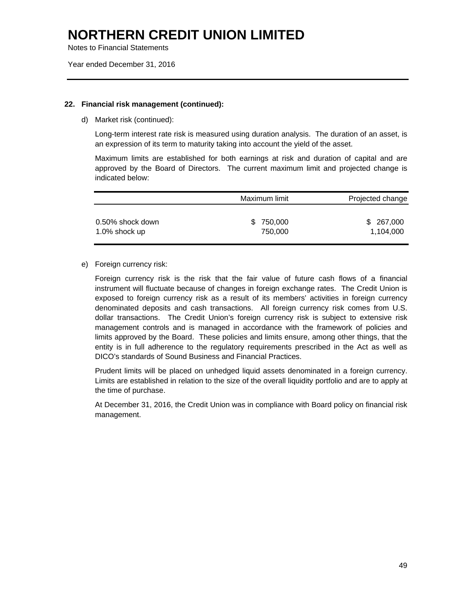Notes to Financial Statements

Year ended December 31, 2016

#### **22. Financial risk management (continued):**

d) Market risk (continued):

Long-term interest rate risk is measured using duration analysis. The duration of an asset, is an expression of its term to maturity taking into account the yield of the asset.

Maximum limits are established for both earnings at risk and duration of capital and are approved by the Board of Directors. The current maximum limit and projected change is indicated below:

|                  | Maximum limit | Projected change |
|------------------|---------------|------------------|
| 0.50% shock down | \$750,000     | \$ 267,000       |
| 1.0% shock up    | 750.000       | 1,104,000        |

e) Foreign currency risk:

 Foreign currency risk is the risk that the fair value of future cash flows of a financial instrument will fluctuate because of changes in foreign exchange rates. The Credit Union is exposed to foreign currency risk as a result of its members' activities in foreign currency denominated deposits and cash transactions. All foreign currency risk comes from U.S. dollar transactions. The Credit Union's foreign currency risk is subject to extensive risk management controls and is managed in accordance with the framework of policies and limits approved by the Board. These policies and limits ensure, among other things, that the entity is in full adherence to the regulatory requirements prescribed in the Act as well as DICO's standards of Sound Business and Financial Practices.

Prudent limits will be placed on unhedged liquid assets denominated in a foreign currency. Limits are established in relation to the size of the overall liquidity portfolio and are to apply at the time of purchase.

At December 31, 2016, the Credit Union was in compliance with Board policy on financial risk management.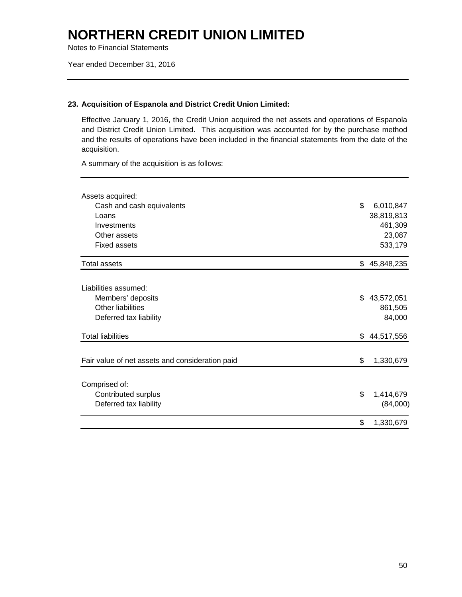Notes to Financial Statements

Year ended December 31, 2016

### **23. Acquisition of Espanola and District Credit Union Limited:**

Effective January 1, 2016, the Credit Union acquired the net assets and operations of Espanola and District Credit Union Limited. This acquisition was accounted for by the purchase method and the results of operations have been included in the financial statements from the date of the acquisition.

A summary of the acquisition is as follows:

| Assets acquired:                                |     |            |
|-------------------------------------------------|-----|------------|
| Cash and cash equivalents                       | \$  | 6,010,847  |
| Loans                                           |     | 38,819,813 |
| Investments                                     |     | 461,309    |
| Other assets                                    |     | 23,087     |
| <b>Fixed assets</b>                             |     | 533,179    |
| <b>Total assets</b>                             | \$  | 45,848,235 |
|                                                 |     |            |
| Liabilities assumed:                            |     |            |
| Members' deposits                               | \$  | 43,572,051 |
| Other liabilities                               |     | 861,505    |
| Deferred tax liability                          |     | 84,000     |
| <b>Total liabilities</b>                        | \$. | 44,517,556 |
|                                                 |     |            |
| Fair value of net assets and consideration paid | \$  | 1,330,679  |
| Comprised of:                                   |     |            |
| Contributed surplus                             | \$  | 1,414,679  |
| Deferred tax liability                          |     | (84,000)   |
|                                                 | \$  | 1,330,679  |